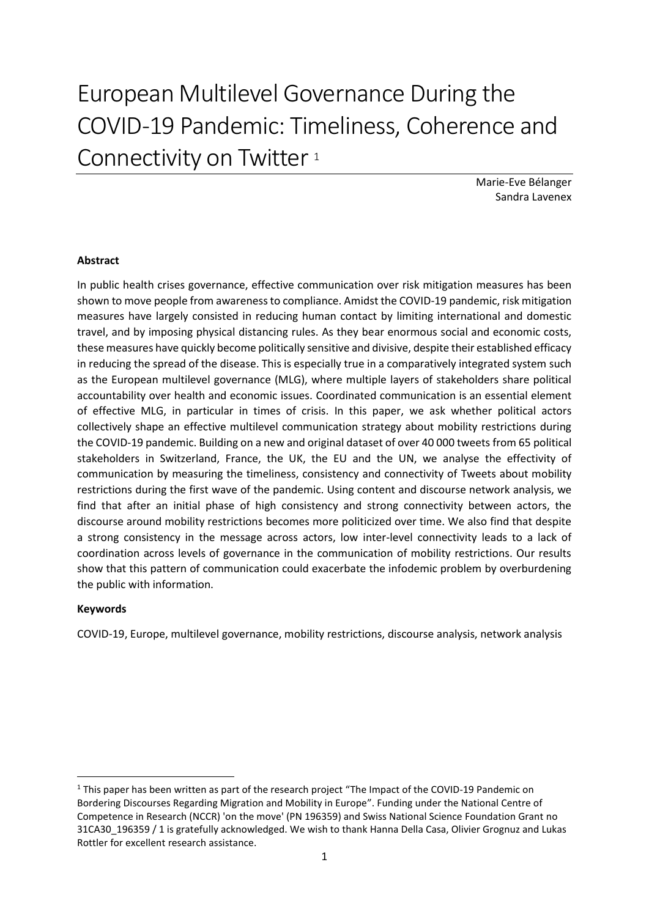# European Multilevel Governance During the COVID-19 Pandemic: Timeliness, Coherence and Connectivity on Twitter<sup>1</sup>

Marie-Eve Bélanger Sandra Lavenex

# **Abstract**

In public health crises governance, effective communication over risk mitigation measures has been shown to move people from awareness to compliance. Amidst the COVID-19 pandemic, risk mitigation measures have largely consisted in reducing human contact by limiting international and domestic travel, and by imposing physical distancing rules. As they bear enormous social and economic costs, these measures have quickly become politically sensitive and divisive, despite their established efficacy in reducing the spread of the disease. This is especially true in a comparatively integrated system such as the European multilevel governance (MLG), where multiple layers of stakeholders share political accountability over health and economic issues. Coordinated communication is an essential element of effective MLG, in particular in times of crisis. In this paper, we ask whether political actors collectively shape an effective multilevel communication strategy about mobility restrictions during the COVID-19 pandemic. Building on a new and original dataset of over 40 000 tweets from 65 political stakeholders in Switzerland, France, the UK, the EU and the UN, we analyse the effectivity of communication by measuring the timeliness, consistency and connectivity of Tweets about mobility restrictions during the first wave of the pandemic. Using content and discourse network analysis, we find that after an initial phase of high consistency and strong connectivity between actors, the discourse around mobility restrictions becomes more politicized over time. We also find that despite a strong consistency in the message across actors, low inter-level connectivity leads to a lack of coordination across levels of governance in the communication of mobility restrictions. Our results show that this pattern of communication could exacerbate the infodemic problem by overburdening the public with information.

## **Keywords**

**.** 

COVID-19, Europe, multilevel governance, mobility restrictions, discourse analysis, network analysis

 $1$  This paper has been written as part of the research project "The Impact of the COVID-19 Pandemic on Bordering Discourses Regarding Migration and Mobility in Europe". Funding under the National Centre of Competence in Research (NCCR) 'on the move' (PN 196359) and Swiss National Science Foundation Grant no 31CA30\_196359 / 1 is gratefully acknowledged. We wish to thank Hanna Della Casa, Olivier Grognuz and Lukas Rottler for excellent research assistance.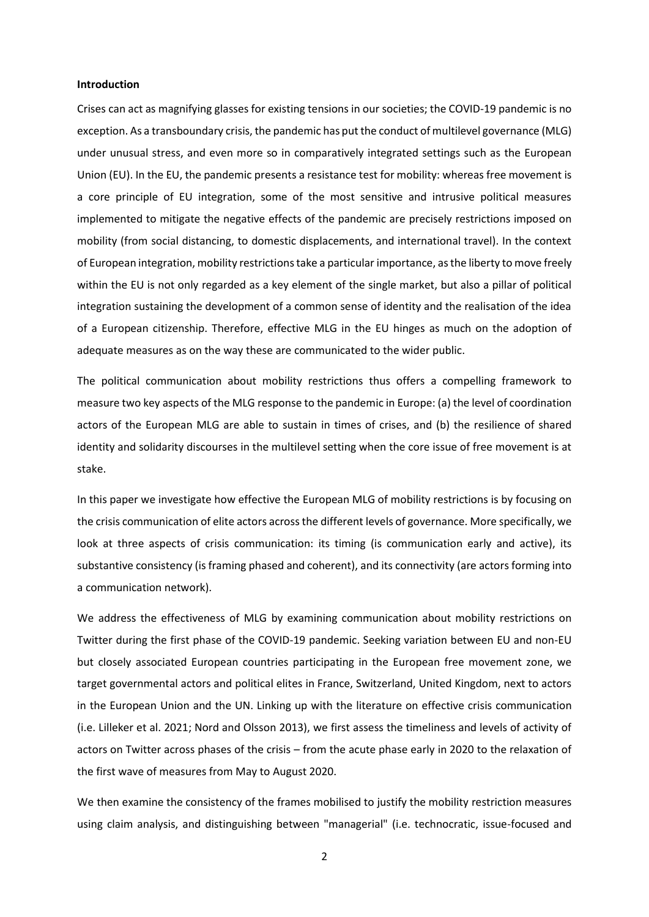### **Introduction**

Crises can act as magnifying glasses for existing tensions in our societies; the COVID-19 pandemic is no exception. As a transboundary crisis, the pandemic has put the conduct of multilevel governance (MLG) under unusual stress, and even more so in comparatively integrated settings such as the European Union (EU). In the EU, the pandemic presents a resistance test for mobility: whereas free movement is a core principle of EU integration, some of the most sensitive and intrusive political measures implemented to mitigate the negative effects of the pandemic are precisely restrictions imposed on mobility (from social distancing, to domestic displacements, and international travel). In the context of European integration, mobility restrictions take a particular importance, as the liberty to move freely within the EU is not only regarded as a key element of the single market, but also a pillar of political integration sustaining the development of a common sense of identity and the realisation of the idea of a European citizenship. Therefore, effective MLG in the EU hinges as much on the adoption of adequate measures as on the way these are communicated to the wider public.

The political communication about mobility restrictions thus offers a compelling framework to measure two key aspects of the MLG response to the pandemic in Europe: (a) the level of coordination actors of the European MLG are able to sustain in times of crises, and (b) the resilience of shared identity and solidarity discourses in the multilevel setting when the core issue of free movement is at stake.

In this paper we investigate how effective the European MLG of mobility restrictions is by focusing on the crisis communication of elite actors across the different levels of governance. More specifically, we look at three aspects of crisis communication: its timing (is communication early and active), its substantive consistency (is framing phased and coherent), and its connectivity (are actors forming into a communication network).

We address the effectiveness of MLG by examining communication about mobility restrictions on Twitter during the first phase of the COVID-19 pandemic. Seeking variation between EU and non-EU but closely associated European countries participating in the European free movement zone, we target governmental actors and political elites in France, Switzerland, United Kingdom, next to actors in the European Union and the UN. Linking up with the literature on effective crisis communication (i.e. Lilleker et al. 2021; Nord and Olsson 2013), we first assess the timeliness and levels of activity of actors on Twitter across phases of the crisis – from the acute phase early in 2020 to the relaxation of the first wave of measures from May to August 2020.

We then examine the consistency of the frames mobilised to justify the mobility restriction measures using claim analysis, and distinguishing between "managerial" (i.e. technocratic, issue-focused and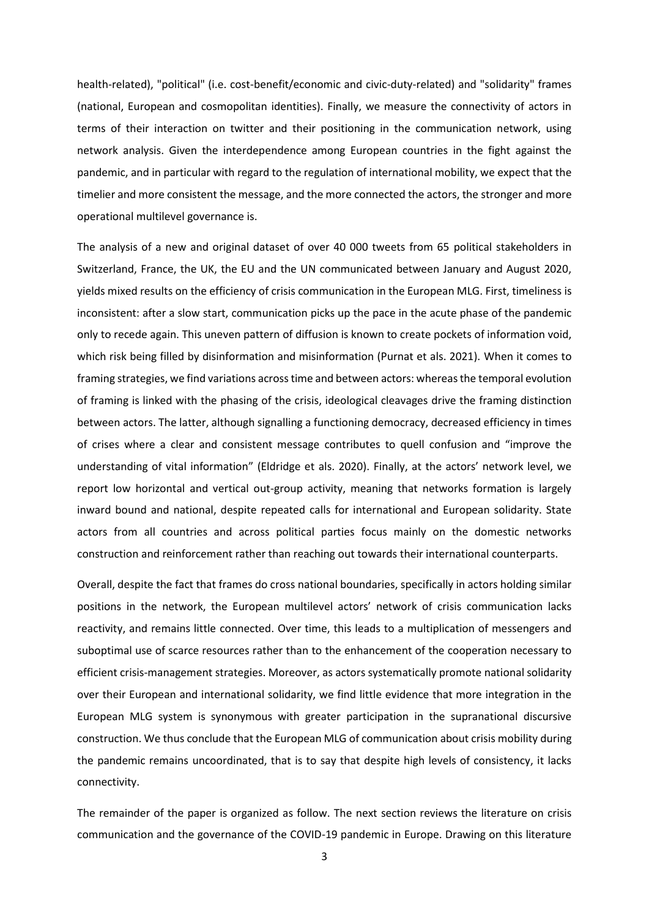health-related), "political" (i.e. cost-benefit/economic and civic-duty-related) and "solidarity" frames (national, European and cosmopolitan identities). Finally, we measure the connectivity of actors in terms of their interaction on twitter and their positioning in the communication network, using network analysis. Given the interdependence among European countries in the fight against the pandemic, and in particular with regard to the regulation of international mobility, we expect that the timelier and more consistent the message, and the more connected the actors, the stronger and more operational multilevel governance is.

The analysis of a new and original dataset of over 40 000 tweets from 65 political stakeholders in Switzerland, France, the UK, the EU and the UN communicated between January and August 2020, yields mixed results on the efficiency of crisis communication in the European MLG. First, timeliness is inconsistent: after a slow start, communication picks up the pace in the acute phase of the pandemic only to recede again. This uneven pattern of diffusion is known to create pockets of information void, which risk being filled by disinformation and misinformation (Purnat et als. 2021). When it comes to framing strategies, we find variations across time and between actors: whereas the temporal evolution of framing is linked with the phasing of the crisis, ideological cleavages drive the framing distinction between actors. The latter, although signalling a functioning democracy, decreased efficiency in times of crises where a clear and consistent message contributes to quell confusion and "improve the understanding of vital information" (Eldridge et als. 2020). Finally, at the actors' network level, we report low horizontal and vertical out-group activity, meaning that networks formation is largely inward bound and national, despite repeated calls for international and European solidarity. State actors from all countries and across political parties focus mainly on the domestic networks construction and reinforcement rather than reaching out towards their international counterparts.

Overall, despite the fact that frames do cross national boundaries, specifically in actors holding similar positions in the network, the European multilevel actors' network of crisis communication lacks reactivity, and remains little connected. Over time, this leads to a multiplication of messengers and suboptimal use of scarce resources rather than to the enhancement of the cooperation necessary to efficient crisis-management strategies. Moreover, as actors systematically promote national solidarity over their European and international solidarity, we find little evidence that more integration in the European MLG system is synonymous with greater participation in the supranational discursive construction. We thus conclude that the European MLG of communication about crisis mobility during the pandemic remains uncoordinated, that is to say that despite high levels of consistency, it lacks connectivity.

The remainder of the paper is organized as follow. The next section reviews the literature on crisis communication and the governance of the COVID-19 pandemic in Europe. Drawing on this literature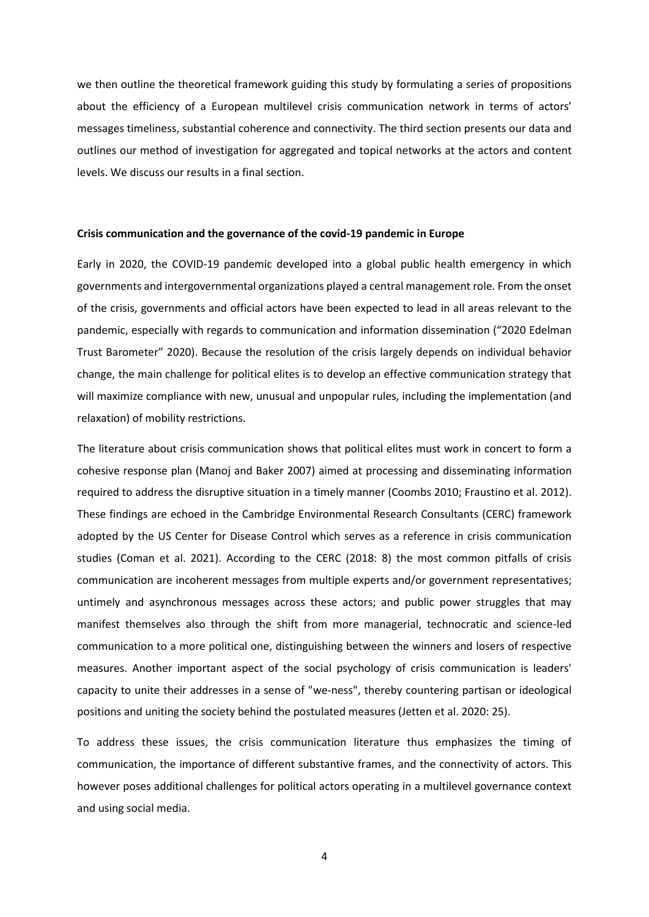we then outline the theoretical framework guiding this study by formulating a series of propositions about the efficiency of a European multilevel crisis communication network in terms of actors' messages timeliness, substantial coherence and connectivity. The third section presents our data and outlines our method of investigation for aggregated and topical networks at the actors and content levels. We discuss our results in a final section.

#### **Crisis communication and the governance of the covid-19 pandemic in Europe**

Early in 2020, the COVID-19 pandemic developed into a global public health emergency in which governments and intergovernmental organizations played a central management role. From the onset of the crisis, governments and official actors have been expected to lead in all areas relevant to the pandemic, especially with regards to communication and information dissemination ("2020 Edelman Trust Barometer" 2020). Because the resolution of the crisis largely depends on individual behavior change, the main challenge for political elites is to develop an effective communication strategy that will maximize compliance with new, unusual and unpopular rules, including the implementation (and relaxation) of mobility restrictions.

The literature about crisis communication shows that political elites must work in concert to form a cohesive response plan (Manoj and Baker 2007) aimed at processing and disseminating information required to address the disruptive situation in a timely manner (Coombs 2010; Fraustino et al. 2012). These findings are echoed in the Cambridge Environmental Research Consultants (CERC) framework adopted by the US Center for Disease Control which serves as a reference in crisis communication studies (Coman et al. 2021). According to the CERC (2018: 8) the most common pitfalls of crisis communication are incoherent messages from multiple experts and/or government representatives; untimely and asynchronous messages across these actors; and public power struggles that may manifest themselves also through the shift from more managerial, technocratic and science-led communication to a more political one, distinguishing between the winners and losers of respective measures. Another important aspect of the social psychology of crisis communication is leaders' capacity to unite their addresses in a sense of "we-ness", thereby countering partisan or ideological positions and uniting the society behind the postulated measures (Jetten et al. 2020: 25).

To address these issues, the crisis communication literature thus emphasizes the timing of communication, the importance of different substantive frames, and the connectivity of actors. This however poses additional challenges for political actors operating in a multilevel governance context and using social media.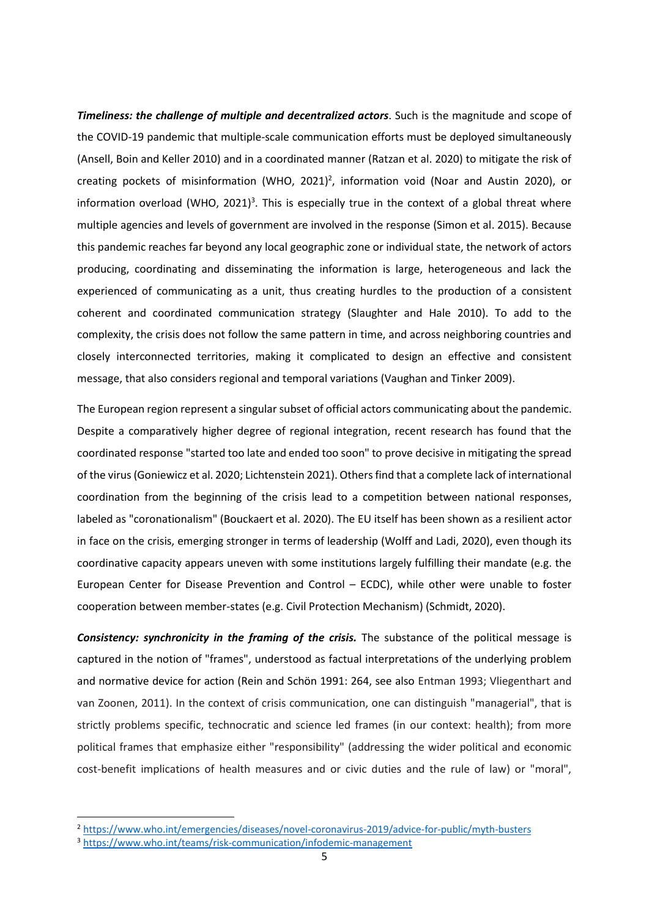*Timeliness: the challenge of multiple and decentralized actors*. Such is the magnitude and scope of the COVID-19 pandemic that multiple-scale communication efforts must be deployed simultaneously (Ansell, Boin and Keller 2010) and in a coordinated manner (Ratzan et al. 2020) to mitigate the risk of creating pockets of misinformation (WHO, 2021)<sup>2</sup>, information void (Noar and Austin 2020), or information overload (WHO, 2021)<sup>3</sup>. This is especially true in the context of a global threat where multiple agencies and levels of government are involved in the response (Simon et al. 2015). Because this pandemic reaches far beyond any local geographic zone or individual state, the network of actors producing, coordinating and disseminating the information is large, heterogeneous and lack the experienced of communicating as a unit, thus creating hurdles to the production of a consistent coherent and coordinated communication strategy (Slaughter and Hale 2010). To add to the complexity, the crisis does not follow the same pattern in time, and across neighboring countries and closely interconnected territories, making it complicated to design an effective and consistent message, that also considers regional and temporal variations (Vaughan and Tinker 2009).

The European region represent a singular subset of official actors communicating about the pandemic. Despite a comparatively higher degree of regional integration, recent research has found that the coordinated response "started too late and ended too soon" to prove decisive in mitigating the spread of the virus (Goniewicz et al. 2020; Lichtenstein 2021). Others find that a complete lack of international coordination from the beginning of the crisis lead to a competition between national responses, labeled as "coronationalism" (Bouckaert et al. 2020). The EU itself has been shown as a resilient actor in face on the crisis, emerging stronger in terms of leadership (Wolff and Ladi, 2020), even though its coordinative capacity appears uneven with some institutions largely fulfilling their mandate (e.g. the European Center for Disease Prevention and Control – ECDC), while other were unable to foster cooperation between member-states (e.g. Civil Protection Mechanism) (Schmidt, 2020).

*Consistency: synchronicity in the framing of the crisis.* The substance of the political message is captured in the notion of "frames", understood as factual interpretations of the underlying problem and normative device for action (Rein and Schön 1991: 264, see also Entman 1993; Vliegenthart and van Zoonen, 2011). In the context of crisis communication, one can distinguish "managerial", that is strictly problems specific, technocratic and science led frames (in our context: health); from more political frames that emphasize either "responsibility" (addressing the wider political and economic cost-benefit implications of health measures and or civic duties and the rule of law) or "moral",

**.** 

<sup>2</sup> <https://www.who.int/emergencies/diseases/novel-coronavirus-2019/advice-for-public/myth-busters>

<sup>3</sup> <https://www.who.int/teams/risk-communication/infodemic-management>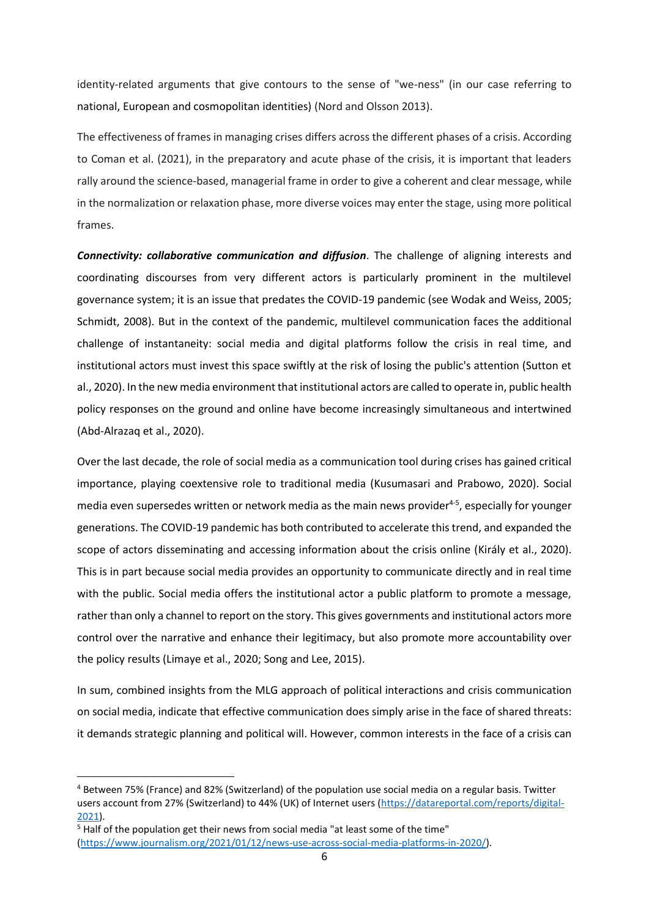identity-related arguments that give contours to the sense of "we-ness" (in our case referring to national, European and cosmopolitan identities) (Nord and Olsson 2013).

The effectiveness of frames in managing crises differs across the different phases of a crisis. According to Coman et al. (2021), in the preparatory and acute phase of the crisis, it is important that leaders rally around the science-based, managerial frame in order to give a coherent and clear message, while in the normalization or relaxation phase, more diverse voices may enter the stage, using more political frames.

*Connectivity: collaborative communication and diffusion*. The challenge of aligning interests and coordinating discourses from very different actors is particularly prominent in the multilevel governance system; it is an issue that predates the COVID-19 pandemic (see Wodak and Weiss, 2005; Schmidt, 2008). But in the context of the pandemic, multilevel communication faces the additional challenge of instantaneity: social media and digital platforms follow the crisis in real time, and institutional actors must invest this space swiftly at the risk of losing the public's attention (Sutton et al., 2020). In the new media environment that institutional actors are called to operate in, public health policy responses on the ground and online have become increasingly simultaneous and intertwined (Abd-Alrazaq et al., 2020).

Over the last decade, the role of social media as a communication tool during crises has gained critical importance, playing coextensive role to traditional media (Kusumasari and Prabowo, 2020). Social media even supersedes written or network media as the main news provider<sup>4-5</sup>, especially for younger generations. The COVID-19 pandemic has both contributed to accelerate this trend, and expanded the scope of actors disseminating and accessing information about the crisis online (Király et al., 2020). This is in part because social media provides an opportunity to communicate directly and in real time with the public. Social media offers the institutional actor a public platform to promote a message, rather than only a channel to report on the story. This gives governments and institutional actors more control over the narrative and enhance their legitimacy, but also promote more accountability over the policy results (Limaye et al., 2020; Song and Lee, 2015).

In sum, combined insights from the MLG approach of political interactions and crisis communication on social media, indicate that effective communication does simply arise in the face of shared threats: it demands strategic planning and political will. However, common interests in the face of a crisis can

**.** 

<sup>4</sup> Between 75% (France) and 82% (Switzerland) of the population use social media on a regular basis. Twitter users account from 27% (Switzerland) to 44% (UK) of Internet users [\(https://datareportal.com/reports/digital-](https://datareportal.com/reports/digital-2021)[2021\)](https://datareportal.com/reports/digital-2021).

<sup>&</sup>lt;sup>5</sup> Half of the population get their news from social media "at least some of the time" [\(https://www.journalism.org/2021/01/12/news-use-across-social-media-platforms-in-2020/\)](https://www.journalism.org/2021/01/12/news-use-across-social-media-platforms-in-2020/).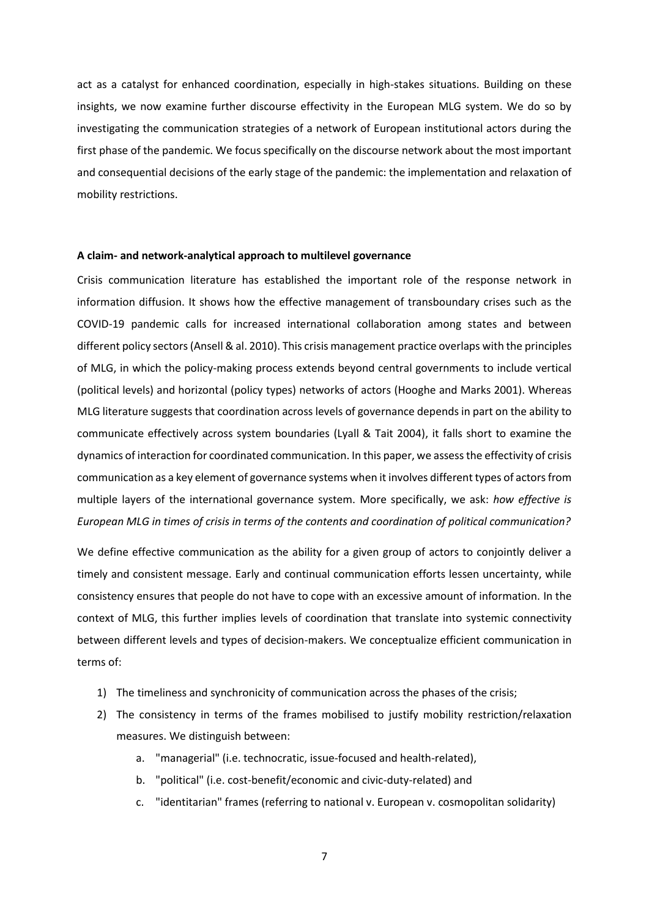act as a catalyst for enhanced coordination, especially in high-stakes situations. Building on these insights, we now examine further discourse effectivity in the European MLG system. We do so by investigating the communication strategies of a network of European institutional actors during the first phase of the pandemic. We focus specifically on the discourse network about the most important and consequential decisions of the early stage of the pandemic: the implementation and relaxation of mobility restrictions.

### **A claim- and network-analytical approach to multilevel governance**

Crisis communication literature has established the important role of the response network in information diffusion. It shows how the effective management of transboundary crises such as the COVID-19 pandemic calls for increased international collaboration among states and between different policy sectors (Ansell & al. 2010). This crisis management practice overlaps with the principles of MLG, in which the policy-making process extends beyond central governments to include vertical (political levels) and horizontal (policy types) networks of actors (Hooghe and Marks 2001). Whereas MLG literature suggests that coordination across levels of governance depends in part on the ability to communicate effectively across system boundaries (Lyall & Tait 2004), it falls short to examine the dynamics of interaction for coordinated communication. In this paper, we assessthe effectivity of crisis communication as a key element of governance systems when it involves different types of actors from multiple layers of the international governance system. More specifically, we ask: *how effective is European MLG in times of crisis in terms of the contents and coordination of political communication?* 

We define effective communication as the ability for a given group of actors to conjointly deliver a timely and consistent message. Early and continual communication efforts lessen uncertainty, while consistency ensures that people do not have to cope with an excessive amount of information. In the context of MLG, this further implies levels of coordination that translate into systemic connectivity between different levels and types of decision-makers. We conceptualize efficient communication in terms of:

- 1) The timeliness and synchronicity of communication across the phases of the crisis;
- 2) The consistency in terms of the frames mobilised to justify mobility restriction/relaxation measures. We distinguish between:
	- a. "managerial" (i.e. technocratic, issue-focused and health-related),
	- b. "political" (i.e. cost-benefit/economic and civic-duty-related) and
	- c. "identitarian" frames (referring to national v. European v. cosmopolitan solidarity)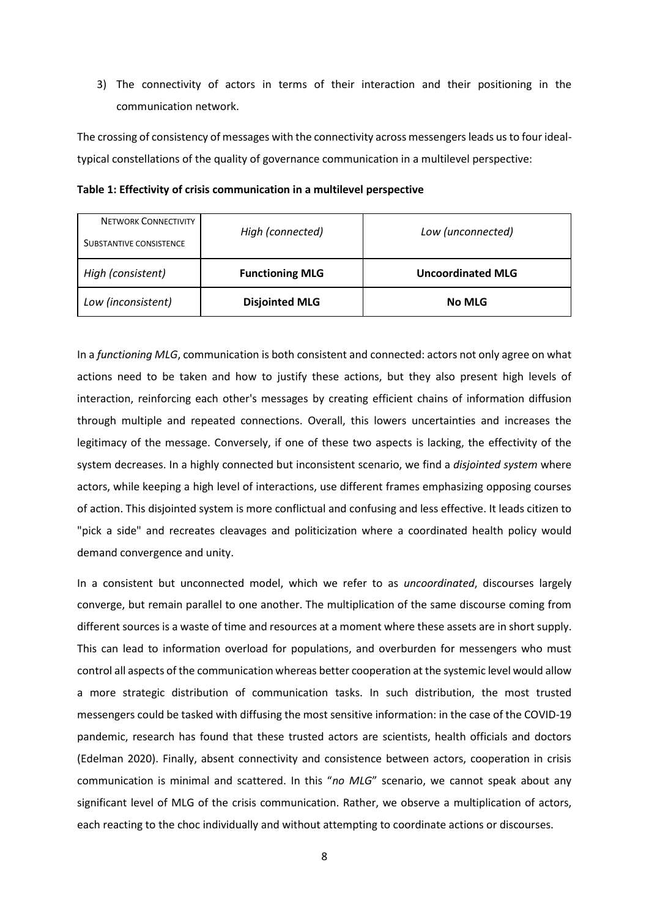3) The connectivity of actors in terms of their interaction and their positioning in the communication network.

The crossing of consistency of messages with the connectivity across messengers leads us to four idealtypical constellations of the quality of governance communication in a multilevel perspective:

| <b>NETWORK CONNECTIVITY</b> |                        |                          |  |
|-----------------------------|------------------------|--------------------------|--|
| SUBSTANTIVE CONSISTENCE     | High (connected)       | Low (unconnected)        |  |
| High (consistent)           | <b>Functioning MLG</b> | <b>Uncoordinated MLG</b> |  |
| Low (inconsistent)          | <b>Disjointed MLG</b>  | <b>No MLG</b>            |  |

**Table 1: Effectivity of crisis communication in a multilevel perspective**

In a *functioning MLG*, communication is both consistent and connected: actors not only agree on what actions need to be taken and how to justify these actions, but they also present high levels of interaction, reinforcing each other's messages by creating efficient chains of information diffusion through multiple and repeated connections. Overall, this lowers uncertainties and increases the legitimacy of the message. Conversely, if one of these two aspects is lacking, the effectivity of the system decreases. In a highly connected but inconsistent scenario, we find a *disjointed system* where actors, while keeping a high level of interactions, use different frames emphasizing opposing courses of action. This disjointed system is more conflictual and confusing and less effective. It leads citizen to "pick a side" and recreates cleavages and politicization where a coordinated health policy would demand convergence and unity.

In a consistent but unconnected model, which we refer to as *uncoordinated*, discourses largely converge, but remain parallel to one another. The multiplication of the same discourse coming from different sources is a waste of time and resources at a moment where these assets are in short supply. This can lead to information overload for populations, and overburden for messengers who must control all aspects of the communication whereas better cooperation at the systemic level would allow a more strategic distribution of communication tasks. In such distribution, the most trusted messengers could be tasked with diffusing the most sensitive information: in the case of the COVID-19 pandemic, research has found that these trusted actors are scientists, health officials and doctors (Edelman 2020). Finally, absent connectivity and consistence between actors, cooperation in crisis communication is minimal and scattered. In this "*no MLG*" scenario, we cannot speak about any significant level of MLG of the crisis communication. Rather, we observe a multiplication of actors, each reacting to the choc individually and without attempting to coordinate actions or discourses.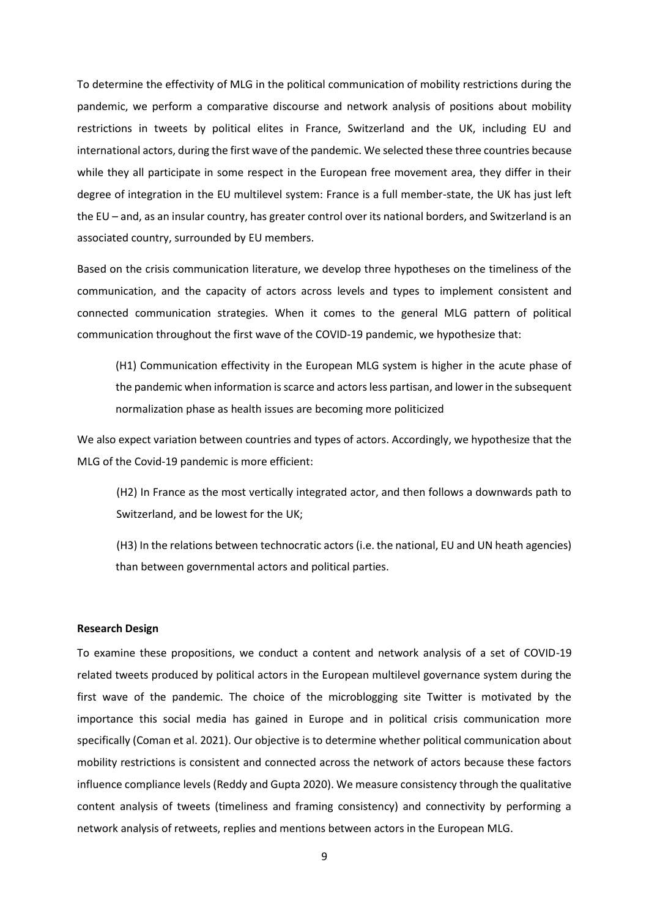To determine the effectivity of MLG in the political communication of mobility restrictions during the pandemic, we perform a comparative discourse and network analysis of positions about mobility restrictions in tweets by political elites in France, Switzerland and the UK, including EU and international actors, during the first wave of the pandemic. We selected these three countries because while they all participate in some respect in the European free movement area, they differ in their degree of integration in the EU multilevel system: France is a full member-state, the UK has just left the EU – and, as an insular country, has greater control over its national borders, and Switzerland is an associated country, surrounded by EU members.

Based on the crisis communication literature, we develop three hypotheses on the timeliness of the communication, and the capacity of actors across levels and types to implement consistent and connected communication strategies. When it comes to the general MLG pattern of political communication throughout the first wave of the COVID-19 pandemic, we hypothesize that:

(H1) Communication effectivity in the European MLG system is higher in the acute phase of the pandemic when information is scarce and actors less partisan, and lower in the subsequent normalization phase as health issues are becoming more politicized

We also expect variation between countries and types of actors. Accordingly, we hypothesize that the MLG of the Covid-19 pandemic is more efficient:

(H2) In France as the most vertically integrated actor, and then follows a downwards path to Switzerland, and be lowest for the UK;

(H3) In the relations between technocratic actors (i.e. the national, EU and UN heath agencies) than between governmental actors and political parties.

### **Research Design**

To examine these propositions, we conduct a content and network analysis of a set of COVID-19 related tweets produced by political actors in the European multilevel governance system during the first wave of the pandemic. The choice of the microblogging site Twitter is motivated by the importance this social media has gained in Europe and in political crisis communication more specifically (Coman et al. 2021). Our objective is to determine whether political communication about mobility restrictions is consistent and connected across the network of actors because these factors influence compliance levels (Reddy and Gupta 2020). We measure consistency through the qualitative content analysis of tweets (timeliness and framing consistency) and connectivity by performing a network analysis of retweets, replies and mentions between actors in the European MLG.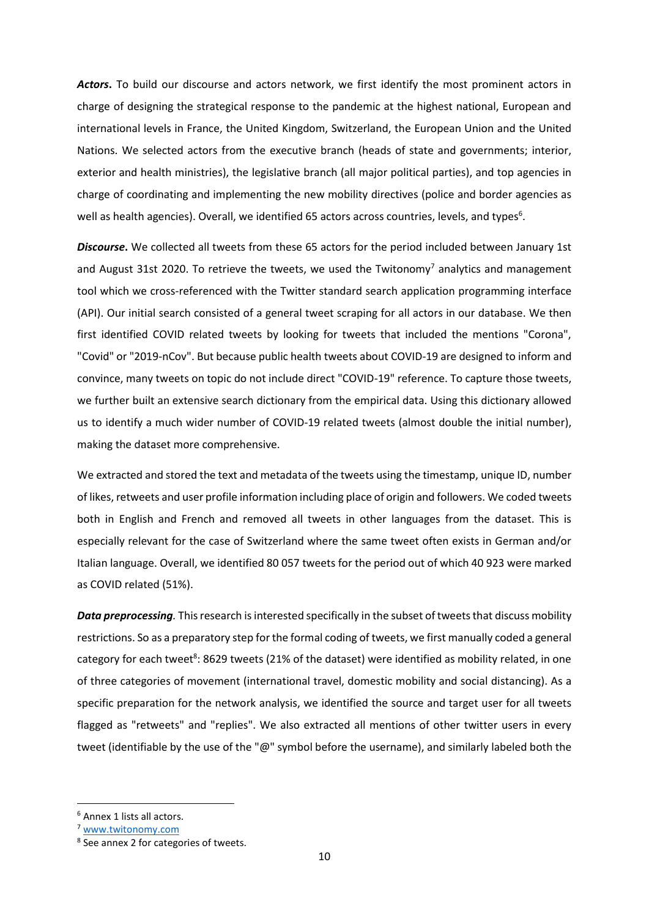*Actors***.** To build our discourse and actors network, we first identify the most prominent actors in charge of designing the strategical response to the pandemic at the highest national, European and international levels in France, the United Kingdom, Switzerland, the European Union and the United Nations. We selected actors from the executive branch (heads of state and governments; interior, exterior and health ministries), the legislative branch (all major political parties), and top agencies in charge of coordinating and implementing the new mobility directives (police and border agencies as well as health agencies). Overall, we identified 65 actors across countries, levels, and types<sup>6</sup>.

*Discourse***.** We collected all tweets from these 65 actors for the period included between January 1st and August 31st 2020. To retrieve the tweets, we used the Twitonomy<sup>7</sup> analytics and management tool which we cross-referenced with the Twitter standard search application programming interface (API). Our initial search consisted of a general tweet scraping for all actors in our database. We then first identified COVID related tweets by looking for tweets that included the mentions "Corona", "Covid" or "2019-nCov". But because public health tweets about COVID-19 are designed to inform and convince, many tweets on topic do not include direct "COVID-19" reference. To capture those tweets, we further built an extensive search dictionary from the empirical data. Using this dictionary allowed us to identify a much wider number of COVID-19 related tweets (almost double the initial number), making the dataset more comprehensive.

We extracted and stored the text and metadata of the tweets using the timestamp, unique ID, number of likes, retweets and user profile information including place of origin and followers. We coded tweets both in English and French and removed all tweets in other languages from the dataset. This is especially relevant for the case of Switzerland where the same tweet often exists in German and/or Italian language. Overall, we identified 80 057 tweets for the period out of which 40 923 were marked as COVID related (51%).

*Data preprocessing.* This research is interested specifically in the subset of tweets that discuss mobility restrictions. So as a preparatory step for the formal coding of tweets, we first manually coded a general category for each tweet<sup>8</sup>: 8629 tweets (21% of the dataset) were identified as mobility related, in one of three categories of movement (international travel, domestic mobility and social distancing). As a specific preparation for the network analysis, we identified the source and target user for all tweets flagged as "retweets" and "replies". We also extracted all mentions of other twitter users in every tweet (identifiable by the use of the "@" symbol before the username), and similarly labeled both the

**.** 

<sup>6</sup> Annex 1 lists all actors.

<sup>7</sup> [www.twitonomy.com](http://www.twitonomy.com/)

<sup>8</sup> See annex 2 for categories of tweets.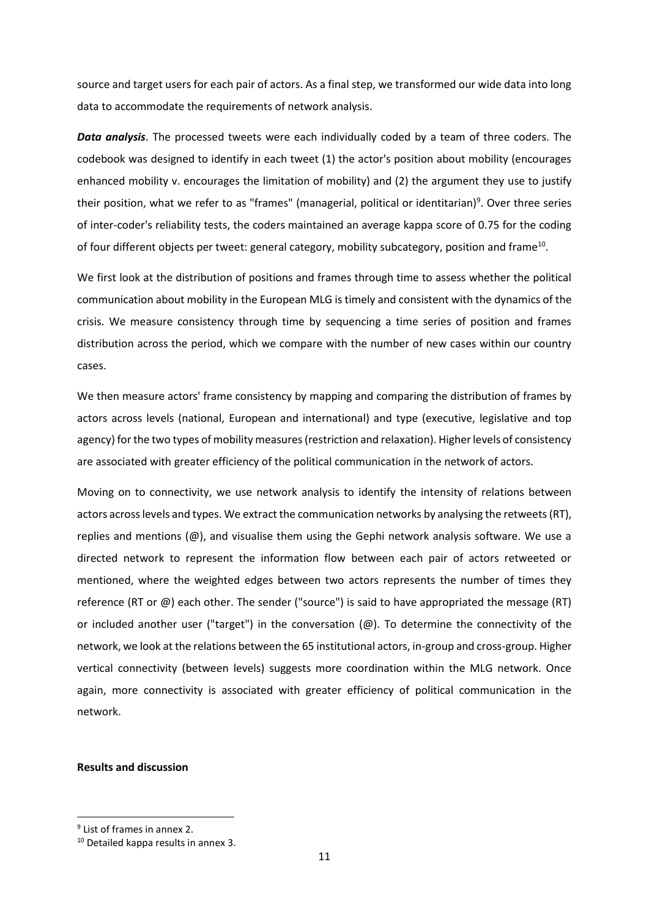source and target users for each pair of actors. As a final step, we transformed our wide data into long data to accommodate the requirements of network analysis.

*Data analysis*. The processed tweets were each individually coded by a team of three coders. The codebook was designed to identify in each tweet (1) the actor's position about mobility (encourages enhanced mobility v. encourages the limitation of mobility) and (2) the argument they use to justify their position, what we refer to as "frames" (managerial, political or identitarian)<sup>9</sup>. Over three series of inter-coder's reliability tests, the coders maintained an average kappa score of 0.75 for the coding of four different objects per tweet: general category, mobility subcategory, position and frame<sup>10</sup>.

We first look at the distribution of positions and frames through time to assess whether the political communication about mobility in the European MLG is timely and consistent with the dynamics of the crisis. We measure consistency through time by sequencing a time series of position and frames distribution across the period, which we compare with the number of new cases within our country cases.

We then measure actors' frame consistency by mapping and comparing the distribution of frames by actors across levels (national, European and international) and type (executive, legislative and top agency) for the two types of mobility measures (restriction and relaxation). Higher levels of consistency are associated with greater efficiency of the political communication in the network of actors.

Moving on to connectivity, we use network analysis to identify the intensity of relations between actors across levels and types. We extract the communication networks by analysing the retweets (RT), replies and mentions  $(\mathcal{Q})$ , and visualise them using the Gephi network analysis software. We use a directed network to represent the information flow between each pair of actors retweeted or mentioned, where the weighted edges between two actors represents the number of times they reference (RT or @) each other. The sender ("source") is said to have appropriated the message (RT) or included another user ("target") in the conversation (@). To determine the connectivity of the network, we look at the relations between the 65 institutional actors, in-group and cross-group. Higher vertical connectivity (between levels) suggests more coordination within the MLG network. Once again, more connectivity is associated with greater efficiency of political communication in the network.

## **Results and discussion**

**.** 

<sup>&</sup>lt;sup>9</sup> List of frames in annex 2.

<sup>&</sup>lt;sup>10</sup> Detailed kappa results in annex 3.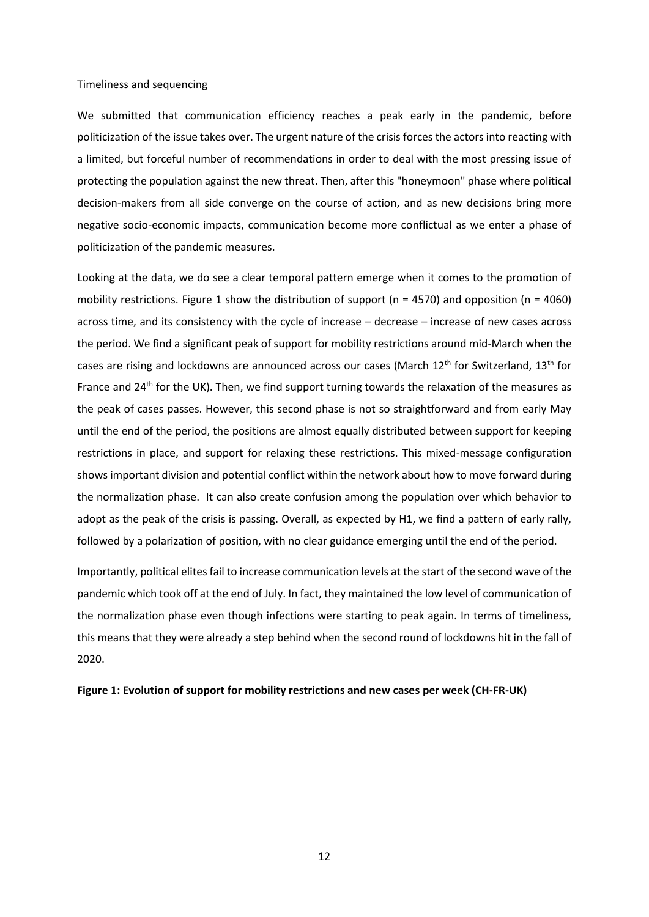#### Timeliness and sequencing

We submitted that communication efficiency reaches a peak early in the pandemic, before politicization of the issue takes over. The urgent nature of the crisis forces the actors into reacting with a limited, but forceful number of recommendations in order to deal with the most pressing issue of protecting the population against the new threat. Then, after this "honeymoon" phase where political decision-makers from all side converge on the course of action, and as new decisions bring more negative socio-economic impacts, communication become more conflictual as we enter a phase of politicization of the pandemic measures.

Looking at the data, we do see a clear temporal pattern emerge when it comes to the promotion of mobility restrictions. Figure 1 show the distribution of support (n = 4570) and opposition (n = 4060) across time, and its consistency with the cycle of increase – decrease – increase of new cases across the period. We find a significant peak of support for mobility restrictions around mid-March when the cases are rising and lockdowns are announced across our cases (March 12<sup>th</sup> for Switzerland, 13<sup>th</sup> for France and 24<sup>th</sup> for the UK). Then, we find support turning towards the relaxation of the measures as the peak of cases passes. However, this second phase is not so straightforward and from early May until the end of the period, the positions are almost equally distributed between support for keeping restrictions in place, and support for relaxing these restrictions. This mixed-message configuration shows important division and potential conflict within the network about how to move forward during the normalization phase. It can also create confusion among the population over which behavior to adopt as the peak of the crisis is passing. Overall, as expected by H1, we find a pattern of early rally, followed by a polarization of position, with no clear guidance emerging until the end of the period.

Importantly, political elites fail to increase communication levels at the start of the second wave of the pandemic which took off at the end of July. In fact, they maintained the low level of communication of the normalization phase even though infections were starting to peak again. In terms of timeliness, this means that they were already a step behind when the second round of lockdowns hit in the fall of 2020.

#### **Figure 1: Evolution of support for mobility restrictions and new cases per week (CH-FR-UK)**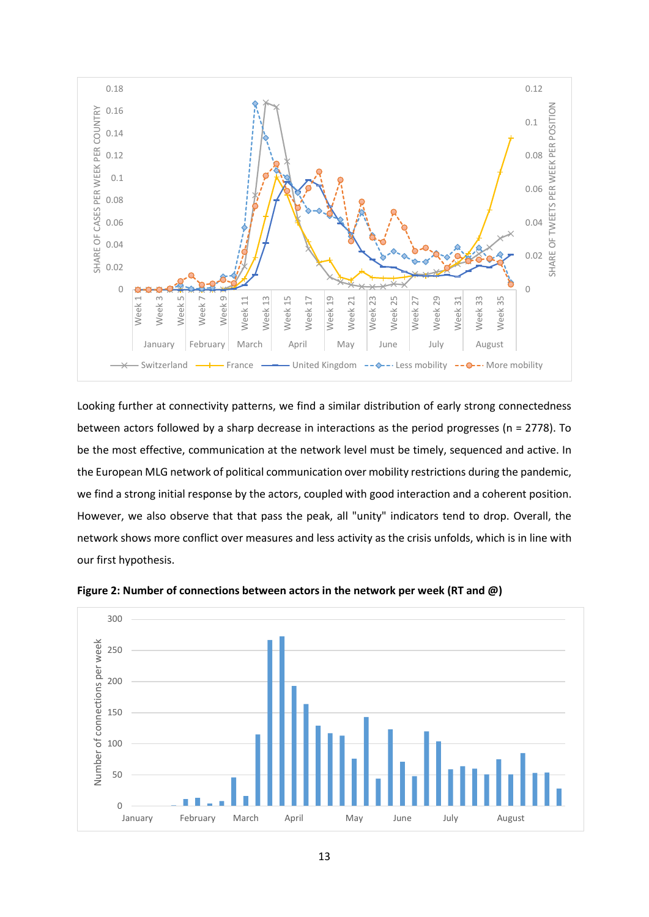

Looking further at connectivity patterns, we find a similar distribution of early strong connectedness between actors followed by a sharp decrease in interactions as the period progresses (n = 2778). To be the most effective, communication at the network level must be timely, sequenced and active. In the European MLG network of political communication over mobility restrictions during the pandemic, we find a strong initial response by the actors, coupled with good interaction and a coherent position. However, we also observe that that pass the peak, all "unity" indicators tend to drop. Overall, the network shows more conflict over measures and less activity as the crisis unfolds, which is in line with our first hypothesis.



**Figure 2: Number of connections between actors in the network per week (RT and @)**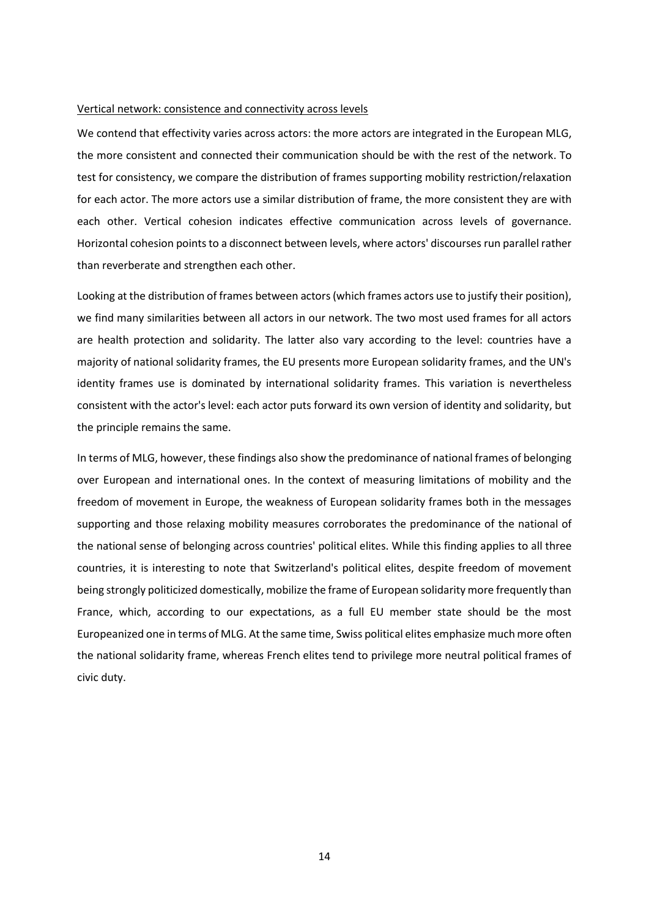#### Vertical network: consistence and connectivity across levels

We contend that effectivity varies across actors: the more actors are integrated in the European MLG, the more consistent and connected their communication should be with the rest of the network. To test for consistency, we compare the distribution of frames supporting mobility restriction/relaxation for each actor. The more actors use a similar distribution of frame, the more consistent they are with each other. Vertical cohesion indicates effective communication across levels of governance. Horizontal cohesion points to a disconnect between levels, where actors' discourses run parallel rather than reverberate and strengthen each other.

Looking at the distribution of frames between actors (which frames actors use to justify their position), we find many similarities between all actors in our network. The two most used frames for all actors are health protection and solidarity. The latter also vary according to the level: countries have a majority of national solidarity frames, the EU presents more European solidarity frames, and the UN's identity frames use is dominated by international solidarity frames. This variation is nevertheless consistent with the actor's level: each actor puts forward its own version of identity and solidarity, but the principle remains the same.

In terms of MLG, however, these findings also show the predominance of national frames of belonging over European and international ones. In the context of measuring limitations of mobility and the freedom of movement in Europe, the weakness of European solidarity frames both in the messages supporting and those relaxing mobility measures corroborates the predominance of the national of the national sense of belonging across countries' political elites. While this finding applies to all three countries, it is interesting to note that Switzerland's political elites, despite freedom of movement being strongly politicized domestically, mobilize the frame of European solidarity more frequently than France, which, according to our expectations, as a full EU member state should be the most Europeanized one in terms of MLG. At the same time, Swiss political elites emphasize much more often the national solidarity frame, whereas French elites tend to privilege more neutral political frames of civic duty.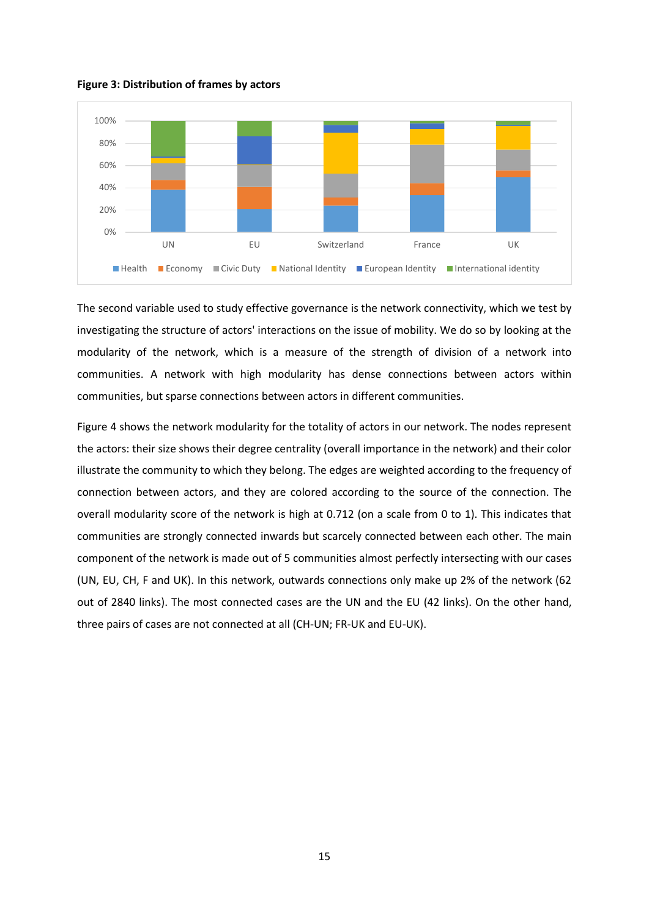**Figure 3: Distribution of frames by actors**



The second variable used to study effective governance is the network connectivity, which we test by investigating the structure of actors' interactions on the issue of mobility. We do so by looking at the modularity of the network, which is a measure of the strength of division of a network into communities. A network with high modularity has dense connections between actors within communities, but sparse connections between actors in different communities.

Figure 4 shows the network modularity for the totality of actors in our network. The nodes represent the actors: their size shows their degree centrality (overall importance in the network) and their color illustrate the community to which they belong. The edges are weighted according to the frequency of connection between actors, and they are colored according to the source of the connection. The overall modularity score of the network is high at 0.712 (on a scale from 0 to 1). This indicates that communities are strongly connected inwards but scarcely connected between each other. The main component of the network is made out of 5 communities almost perfectly intersecting with our cases (UN, EU, CH, F and UK). In this network, outwards connections only make up 2% of the network (62 out of 2840 links). The most connected cases are the UN and the EU (42 links). On the other hand, three pairs of cases are not connected at all (CH-UN; FR-UK and EU-UK).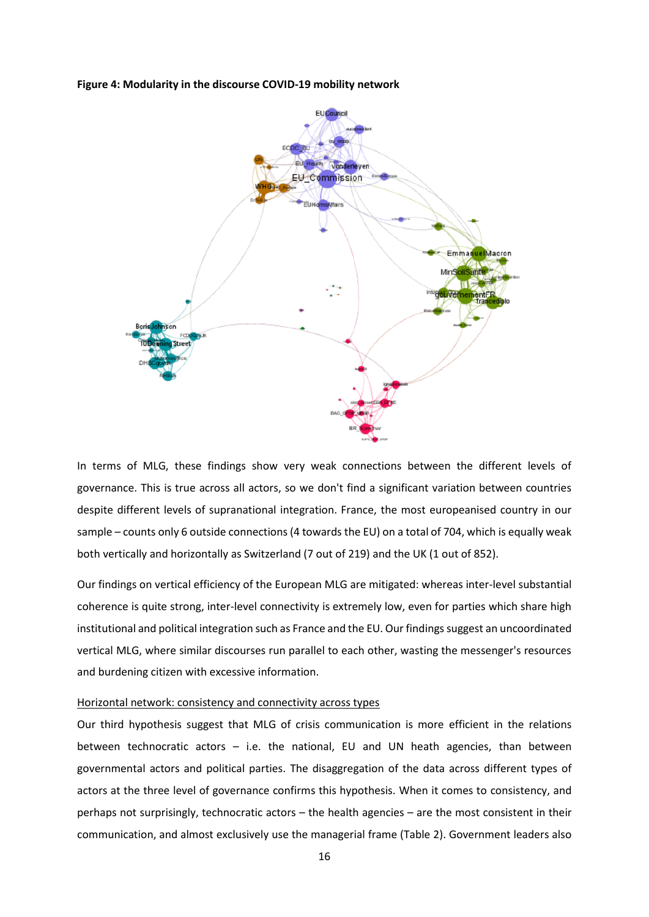**Figure 4: Modularity in the discourse COVID-19 mobility network**



In terms of MLG, these findings show very weak connections between the different levels of governance. This is true across all actors, so we don't find a significant variation between countries despite different levels of supranational integration. France, the most europeanised country in our sample – counts only 6 outside connections (4 towards the EU) on a total of 704, which is equally weak both vertically and horizontally as Switzerland (7 out of 219) and the UK (1 out of 852).

Our findings on vertical efficiency of the European MLG are mitigated: whereas inter-level substantial coherence is quite strong, inter-level connectivity is extremely low, even for parties which share high institutional and political integration such as France and the EU. Our findings suggest an uncoordinated vertical MLG, where similar discourses run parallel to each other, wasting the messenger's resources and burdening citizen with excessive information.

### Horizontal network: consistency and connectivity across types

Our third hypothesis suggest that MLG of crisis communication is more efficient in the relations between technocratic actors – i.e. the national, EU and UN heath agencies, than between governmental actors and political parties. The disaggregation of the data across different types of actors at the three level of governance confirms this hypothesis. When it comes to consistency, and perhaps not surprisingly, technocratic actors – the health agencies – are the most consistent in their communication, and almost exclusively use the managerial frame (Table 2). Government leaders also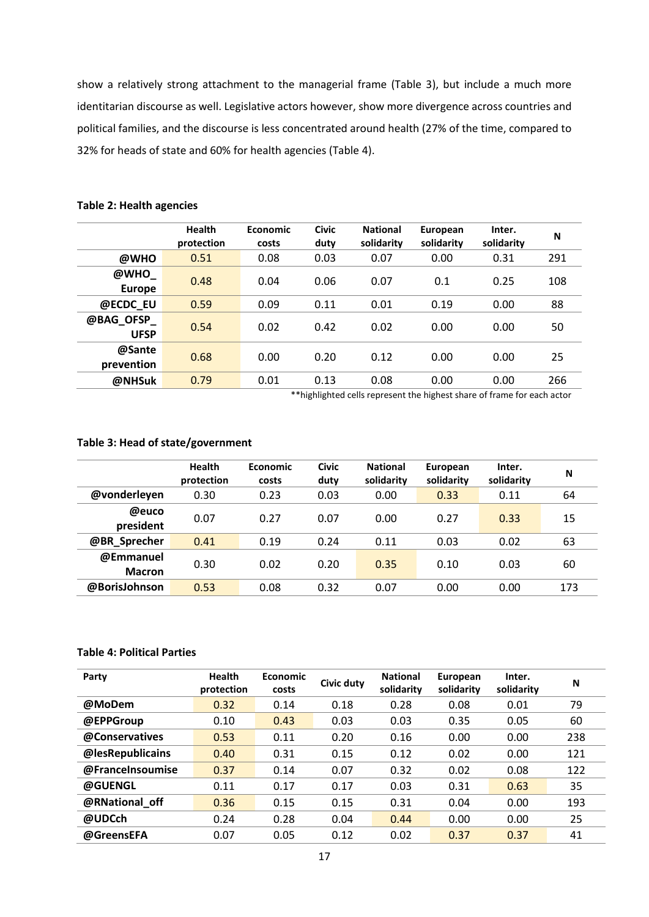show a relatively strong attachment to the managerial frame (Table 3), but include a much more identitarian discourse as well. Legislative actors however, show more divergence across countries and political families, and the discourse is less concentrated around health (27% of the time, compared to 32% for heads of state and 60% for health agencies (Table 4).

|                          | <b>Health</b><br>protection | <b>Economic</b><br>costs | <b>Civic</b><br>duty | <b>National</b><br>solidarity | European<br>solidarity | Inter.<br>solidarity | N   |
|--------------------------|-----------------------------|--------------------------|----------------------|-------------------------------|------------------------|----------------------|-----|
| @WHO                     | 0.51                        | 0.08                     | 0.03                 | 0.07                          | 0.00                   | 0.31                 | 291 |
| @WHO<br><b>Europe</b>    | 0.48                        | 0.04                     | 0.06                 | 0.07                          | 0.1                    | 0.25                 | 108 |
| @ECDC EU                 | 0.59                        | 0.09                     | 0.11                 | 0.01                          | 0.19                   | 0.00                 | 88  |
| @BAG OFSP<br><b>UFSP</b> | 0.54                        | 0.02                     | 0.42                 | 0.02                          | 0.00                   | 0.00                 | 50  |
| @Sante<br>prevention     | 0.68                        | 0.00                     | 0.20                 | 0.12                          | 0.00                   | 0.00                 | 25  |
| @NHSuk                   | 0.79                        | 0.01                     | 0.13                 | 0.08                          | 0.00                   | 0.00                 | 266 |

## **Table 2: Health agencies**

\*\*highlighted cells represent the highest share of frame for each actor

## **Table 3: Head of state/government**

|                            | <b>Health</b><br>protection | <b>Economic</b><br>costs | <b>Civic</b><br>duty | <b>National</b><br>solidarity | European<br>solidarity | Inter.<br>solidarity | N   |
|----------------------------|-----------------------------|--------------------------|----------------------|-------------------------------|------------------------|----------------------|-----|
| @vonderleyen               | 0.30                        | 0.23                     | 0.03                 | 0.00                          | 0.33                   | 0.11                 | 64  |
| @euco<br>president         | 0.07                        | 0.27                     | 0.07                 | 0.00                          | 0.27                   | 0.33                 | 15  |
| @BR_Sprecher               | 0.41                        | 0.19                     | 0.24                 | 0.11                          | 0.03                   | 0.02                 | 63  |
| @Emmanuel<br><b>Macron</b> | 0.30                        | 0.02                     | 0.20                 | 0.35                          | 0.10                   | 0.03                 | 60  |
| @BorisJohnson              | 0.53                        | 0.08                     | 0.32                 | 0.07                          | 0.00                   | 0.00                 | 173 |

## **Table 4: Political Parties**

| Party            | <b>Health</b><br>protection | <b>Economic</b><br>costs | Civic duty | <b>National</b><br>solidarity | European<br>solidarity | Inter.<br>solidarity | N   |
|------------------|-----------------------------|--------------------------|------------|-------------------------------|------------------------|----------------------|-----|
| @MoDem           | 0.32                        | 0.14                     | 0.18       | 0.28                          | 0.08                   | 0.01                 | 79  |
| @EPPGroup        | 0.10                        | 0.43                     | 0.03       | 0.03                          | 0.35                   | 0.05                 | 60  |
| @Conservatives   | 0.53                        | 0.11                     | 0.20       | 0.16                          | 0.00                   | 0.00                 | 238 |
| @lesRepublicains | 0.40                        | 0.31                     | 0.15       | 0.12                          | 0.02                   | 0.00                 | 121 |
| @FranceInsoumise | 0.37                        | 0.14                     | 0.07       | 0.32                          | 0.02                   | 0.08                 | 122 |
| @GUENGL          | 0.11                        | 0.17                     | 0.17       | 0.03                          | 0.31                   | 0.63                 | 35  |
| @RNational_off   | 0.36                        | 0.15                     | 0.15       | 0.31                          | 0.04                   | 0.00                 | 193 |
| @UDCch           | 0.24                        | 0.28                     | 0.04       | 0.44                          | 0.00                   | 0.00                 | 25  |
| @GreensEFA       | 0.07                        | 0.05                     | 0.12       | 0.02                          | 0.37                   | 0.37                 | 41  |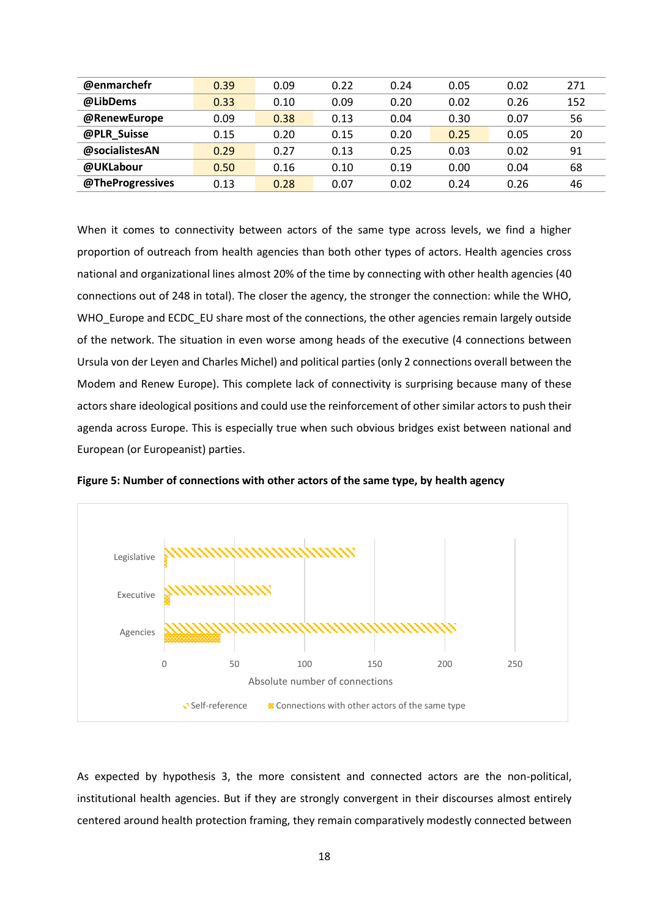| @enmarchefr      | 0.39 | 0.09 | 0.22 | 0.24 | 0.05 | 0.02 | 271 |
|------------------|------|------|------|------|------|------|-----|
| @LibDems         | 0.33 | 0.10 | 0.09 | 0.20 | 0.02 | 0.26 | 152 |
| @RenewEurope     | 0.09 | 0.38 | 0.13 | 0.04 | 0.30 | 0.07 | 56  |
| @PLR Suisse      | 0.15 | 0.20 | 0.15 | 0.20 | 0.25 | 0.05 | 20  |
| @socialistesAN   | 0.29 | 0.27 | 0.13 | 0.25 | 0.03 | 0.02 | 91  |
| @UKLabour        | 0.50 | 0.16 | 0.10 | 0.19 | 0.00 | 0.04 | 68  |
| @TheProgressives | 0.13 | 0.28 | 0.07 | 0.02 | 0.24 | 0.26 | 46  |

When it comes to connectivity between actors of the same type across levels, we find a higher proportion of outreach from health agencies than both other types of actors. Health agencies cross national and organizational lines almost 20% of the time by connecting with other health agencies (40 connections out of 248 in total). The closer the agency, the stronger the connection: while the WHO, WHO Europe and ECDC EU share most of the connections, the other agencies remain largely outside of the network. The situation in even worse among heads of the executive (4 connections between Ursula von der Leyen and Charles Michel) and political parties (only 2 connections overall between the Modem and Renew Europe). This complete lack of connectivity is surprising because many of these actors share ideological positions and could use the reinforcement of other similar actors to push their agenda across Europe. This is especially true when such obvious bridges exist between national and European (or Europeanist) parties.



**Figure 5: Number of connections with other actors of the same type, by health agency** 

As expected by hypothesis 3, the more consistent and connected actors are the non-political, institutional health agencies. But if they are strongly convergent in their discourses almost entirely centered around health protection framing, they remain comparatively modestly connected between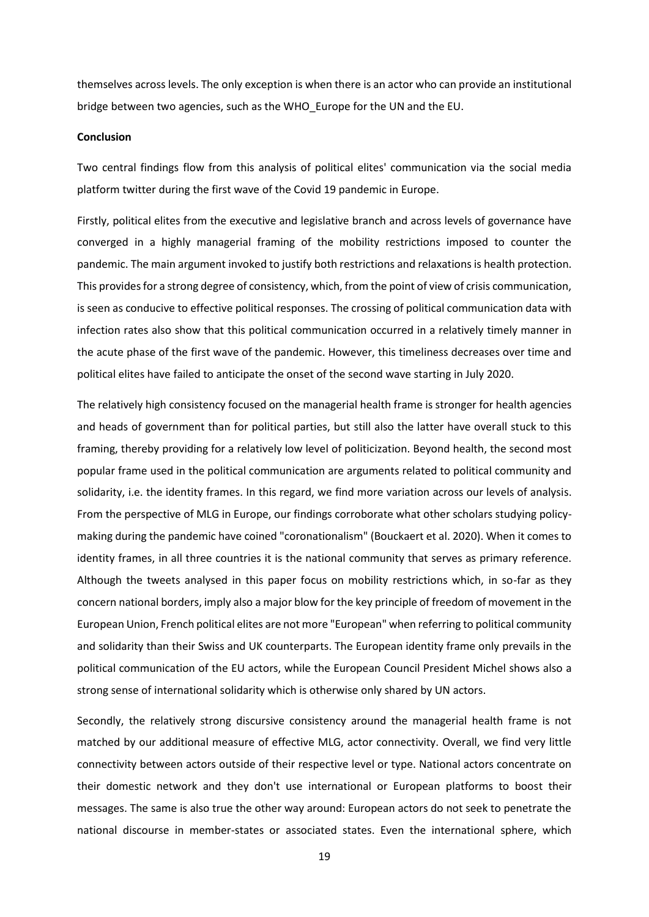themselves across levels. The only exception is when there is an actor who can provide an institutional bridge between two agencies, such as the WHO\_Europe for the UN and the EU.

#### **Conclusion**

Two central findings flow from this analysis of political elites' communication via the social media platform twitter during the first wave of the Covid 19 pandemic in Europe.

Firstly, political elites from the executive and legislative branch and across levels of governance have converged in a highly managerial framing of the mobility restrictions imposed to counter the pandemic. The main argument invoked to justify both restrictions and relaxations is health protection. This provides for a strong degree of consistency, which, from the point of view of crisis communication, is seen as conducive to effective political responses. The crossing of political communication data with infection rates also show that this political communication occurred in a relatively timely manner in the acute phase of the first wave of the pandemic. However, this timeliness decreases over time and political elites have failed to anticipate the onset of the second wave starting in July 2020.

The relatively high consistency focused on the managerial health frame is stronger for health agencies and heads of government than for political parties, but still also the latter have overall stuck to this framing, thereby providing for a relatively low level of politicization. Beyond health, the second most popular frame used in the political communication are arguments related to political community and solidarity, i.e. the identity frames. In this regard, we find more variation across our levels of analysis. From the perspective of MLG in Europe, our findings corroborate what other scholars studying policymaking during the pandemic have coined "coronationalism" (Bouckaert et al. 2020). When it comes to identity frames, in all three countries it is the national community that serves as primary reference. Although the tweets analysed in this paper focus on mobility restrictions which, in so-far as they concern national borders, imply also a major blow for the key principle of freedom of movement in the European Union, French political elites are not more "European" when referring to political community and solidarity than their Swiss and UK counterparts. The European identity frame only prevails in the political communication of the EU actors, while the European Council President Michel shows also a strong sense of international solidarity which is otherwise only shared by UN actors.

Secondly, the relatively strong discursive consistency around the managerial health frame is not matched by our additional measure of effective MLG, actor connectivity. Overall, we find very little connectivity between actors outside of their respective level or type. National actors concentrate on their domestic network and they don't use international or European platforms to boost their messages. The same is also true the other way around: European actors do not seek to penetrate the national discourse in member-states or associated states. Even the international sphere, which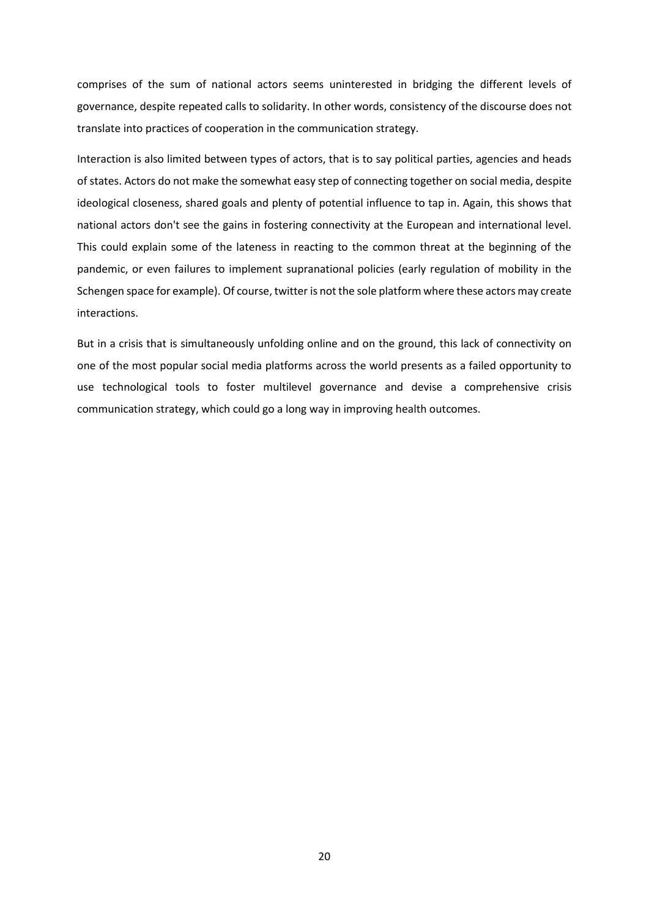comprises of the sum of national actors seems uninterested in bridging the different levels of governance, despite repeated calls to solidarity. In other words, consistency of the discourse does not translate into practices of cooperation in the communication strategy.

Interaction is also limited between types of actors, that is to say political parties, agencies and heads of states. Actors do not make the somewhat easy step of connecting together on social media, despite ideological closeness, shared goals and plenty of potential influence to tap in. Again, this shows that national actors don't see the gains in fostering connectivity at the European and international level. This could explain some of the lateness in reacting to the common threat at the beginning of the pandemic, or even failures to implement supranational policies (early regulation of mobility in the Schengen space for example). Of course, twitter is not the sole platform where these actors may create interactions.

But in a crisis that is simultaneously unfolding online and on the ground, this lack of connectivity on one of the most popular social media platforms across the world presents as a failed opportunity to use technological tools to foster multilevel governance and devise a comprehensive crisis communication strategy, which could go a long way in improving health outcomes.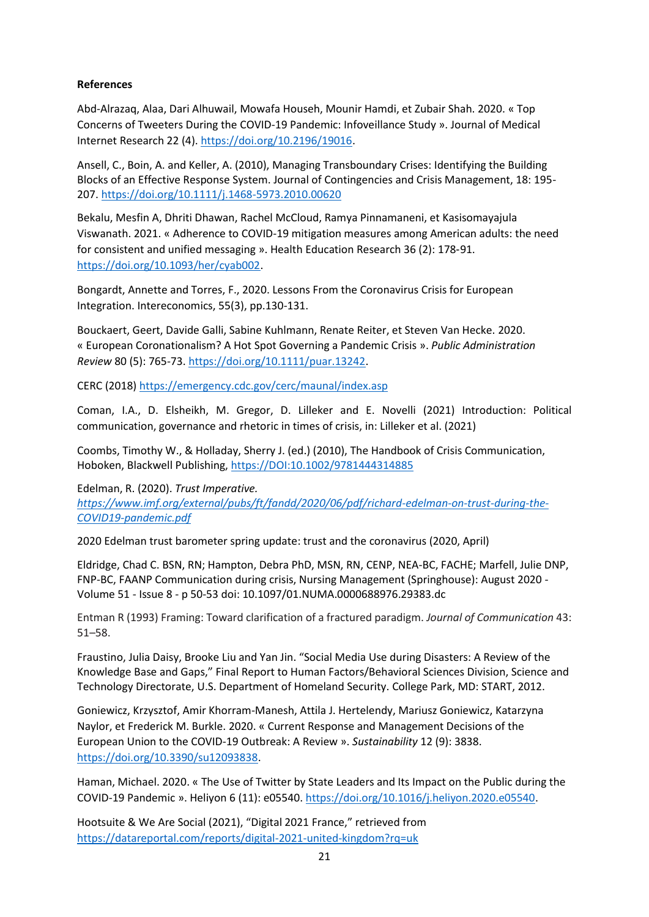# **References**

Abd-Alrazaq, Alaa, Dari Alhuwail, Mowafa Househ, Mounir Hamdi, et Zubair Shah. 2020. « Top Concerns of Tweeters During the COVID-19 Pandemic: Infoveillance Study ». Journal of Medical Internet Research 22 (4). [https://doi.org/10.2196/19016.](https://doi.org/10.2196/19016)

Ansell, C., Boin, A. and Keller, A. (2010), Managing Transboundary Crises: Identifying the Building Blocks of an Effective Response System. Journal of Contingencies and Crisis Management, 18: 195- 207.<https://doi.org/10.1111/j.1468-5973.2010.00620>

Bekalu, Mesfin A, Dhriti Dhawan, Rachel McCloud, Ramya Pinnamaneni, et Kasisomayajula Viswanath. 2021. « Adherence to COVID-19 mitigation measures among American adults: the need for consistent and unified messaging ». Health Education Research 36 (2): 178‑91. [https://doi.org/10.1093/her/cyab002.](https://doi.org/10.1093/her/cyab002)

Bongardt, Annette and Torres, F., 2020. Lessons From the Coronavirus Crisis for European Integration. Intereconomics, 55(3), pp.130-131.

Bouckaert, Geert, Davide Galli, Sabine Kuhlmann, Renate Reiter, et Steven Van Hecke. 2020. « European Coronationalism? A Hot Spot Governing a Pandemic Crisis ». *Public Administration Review* 80 (5): 765-73. [https://doi.org/10.1111/puar.13242.](https://doi.org/10.1111/puar.13242)

CERC (2018)<https://emergency.cdc.gov/cerc/maunal/index.asp>

Coman, I.A., D. Elsheikh, M. Gregor, D. Lilleker and E. Novelli (2021) Introduction: Political communication, governance and rhetoric in times of crisis, in: Lilleker et al. (2021)

Coombs, Timothy W., & Holladay, Sherry J. (ed.) (2010), The Handbook of Crisis Communication, Hoboken, Blackwell Publishing,<https://DOI:10.1002/9781444314885>

Edelman, R. (2020). *Trust Imperative. [https://www.imf.org/external/pubs/ft/fandd/2020/06/pdf/richard-edelman-on-trust-during-the-](https://www.imf.org/external/pubs/ft/fandd/2020/06/pdf/richard-edelman-on-trust-during-the-COVID19-pandemic.pdf)[COVID19-pandemic.pdf](https://www.imf.org/external/pubs/ft/fandd/2020/06/pdf/richard-edelman-on-trust-during-the-COVID19-pandemic.pdf)*

2020 Edelman trust barometer spring update: trust and the coronavirus (2020, April)

Eldridge, Chad C. BSN, RN; Hampton, Debra PhD, MSN, RN, CENP, NEA-BC, FACHE; Marfell, Julie DNP, FNP-BC, FAANP Communication during crisis, Nursing Management (Springhouse): August 2020 - Volume 51 - Issue 8 - p 50-53 doi: 10.1097/01.NUMA.0000688976.29383.dc

Entman R (1993) Framing: Toward clarification of a fractured paradigm. *Journal of Communication* 43: 51–58.

Fraustino, Julia Daisy, Brooke Liu and Yan Jin. "Social Media Use during Disasters: A Review of the Knowledge Base and Gaps," Final Report to Human Factors/Behavioral Sciences Division, Science and Technology Directorate, U.S. Department of Homeland Security. College Park, MD: START, 2012.

Goniewicz, Krzysztof, Amir Khorram-Manesh, Attila J. Hertelendy, Mariusz Goniewicz, Katarzyna Naylor, et Frederick M. Burkle. 2020. « Current Response and Management Decisions of the European Union to the COVID-19 Outbreak: A Review ». *Sustainability* 12 (9): 3838. [https://doi.org/10.3390/su12093838.](https://doi.org/10.3390/su12093838)

Haman, Michael. 2020. « The Use of Twitter by State Leaders and Its Impact on the Public during the COVID-19 Pandemic ». Heliyon 6 (11): e05540[. https://doi.org/10.1016/j.heliyon.2020.e05540.](https://doi.org/10.1016/j.heliyon.2020.e05540)

Hootsuite & We Are Social (2021), "Digital 2021 France," retrieved from <https://datareportal.com/reports/digital-2021-united-kingdom?rq=uk>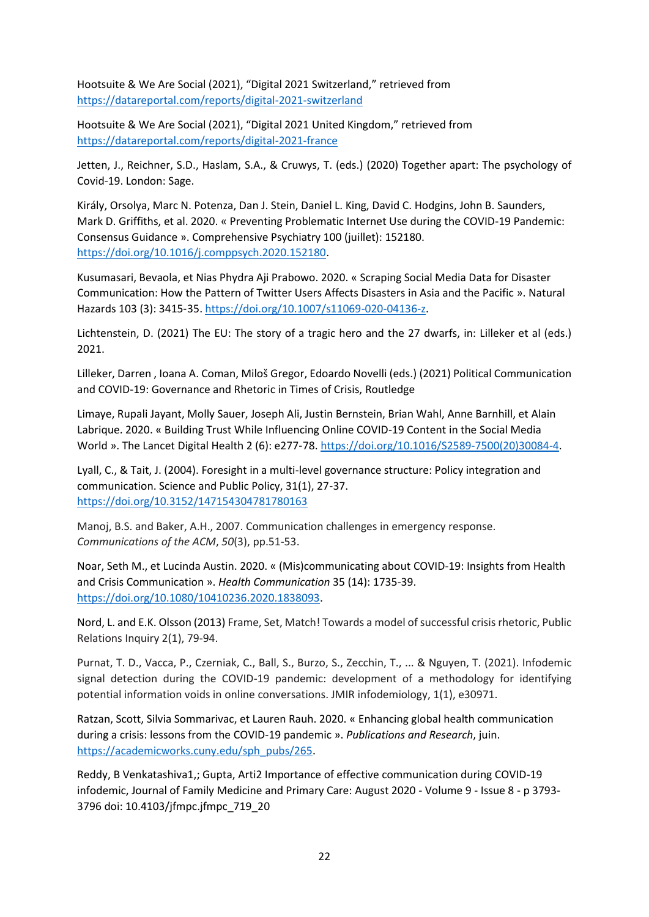Hootsuite & We Are Social (2021), "Digital 2021 Switzerland," retrieved from <https://datareportal.com/reports/digital-2021-switzerland>

Hootsuite & We Are Social (2021), "Digital 2021 United Kingdom," retrieved from <https://datareportal.com/reports/digital-2021-france>

Jetten, J., Reichner, S.D., Haslam, S.A., & Cruwys, T. (eds.) (2020) Together apart: The psychology of Covid-19. London: Sage.

Király, Orsolya, Marc N. Potenza, Dan J. Stein, Daniel L. King, David C. Hodgins, John B. Saunders, Mark D. Griffiths, et al. 2020. « Preventing Problematic Internet Use during the COVID-19 Pandemic: Consensus Guidance ». Comprehensive Psychiatry 100 (juillet): 152180. [https://doi.org/10.1016/j.comppsych.2020.152180.](https://doi.org/10.1016/j.comppsych.2020.152180)

Kusumasari, Bevaola, et Nias Phydra Aji Prabowo. 2020. « Scraping Social Media Data for Disaster Communication: How the Pattern of Twitter Users Affects Disasters in Asia and the Pacific ». Natural Hazards 103 (3): 3415‑35. [https://doi.org/10.1007/s11069-020-04136-z.](https://doi.org/10.1007/s11069-020-04136-z)

Lichtenstein, D. (2021) The EU: The story of a tragic hero and the 27 dwarfs, in: Lilleker et al (eds.) 2021.

Lilleker, Darren , Ioana A. Coman, Miloš Gregor, Edoardo Novelli (eds.) (2021) Political Communication and COVID-19: Governance and Rhetoric in Times of Crisis, Routledge

Limaye, Rupali Jayant, Molly Sauer, Joseph Ali, Justin Bernstein, Brian Wahl, Anne Barnhill, et Alain Labrique. 2020. « Building Trust While Influencing Online COVID-19 Content in the Social Media World ». The Lancet Digital Health 2 (6): e277‑78. [https://doi.org/10.1016/S2589-7500\(20\)30084-4.](https://doi.org/10.1016/S2589-7500(20)30084-4)

Lyall, C., & Tait, J. (2004). Foresight in a multi-level governance structure: Policy integration and communication. Science and Public Policy, 31(1), 27‑37. <https://doi.org/10.3152/147154304781780163>

Manoj, B.S. and Baker, A.H., 2007. Communication challenges in emergency response. *Communications of the ACM*, *50*(3), pp.51-53.

Noar, Seth M., et Lucinda Austin. 2020. « (Mis)communicating about COVID-19: Insights from Health and Crisis Communication ». *Health Communication* 35 (14): 1735-39. [https://doi.org/10.1080/10410236.2020.1838093.](https://doi.org/10.1080/10410236.2020.1838093)

Nord, L. and E.K. Olsson (2013) Frame, Set, Match! Towards a model of successful crisis rhetoric, Public Relations Inquiry 2(1), 79-94.

Purnat, T. D., Vacca, P., Czerniak, C., Ball, S., Burzo, S., Zecchin, T., ... & Nguyen, T. (2021). Infodemic signal detection during the COVID-19 pandemic: development of a methodology for identifying potential information voids in online conversations. JMIR infodemiology, 1(1), e30971.

Ratzan, Scott, Silvia Sommarivac, et Lauren Rauh. 2020. « Enhancing global health communication during a crisis: lessons from the COVID-19 pandemic ». *Publications and Research*, juin. [https://academicworks.cuny.edu/sph\\_pubs/265.](https://academicworks.cuny.edu/sph_pubs/265)

Reddy, B Venkatashiva1,; Gupta, Arti2 Importance of effective communication during COVID-19 infodemic, Journal of Family Medicine and Primary Care: August 2020 - Volume 9 - Issue 8 - p 3793- 3796 doi: 10.4103/jfmpc.jfmpc\_719\_20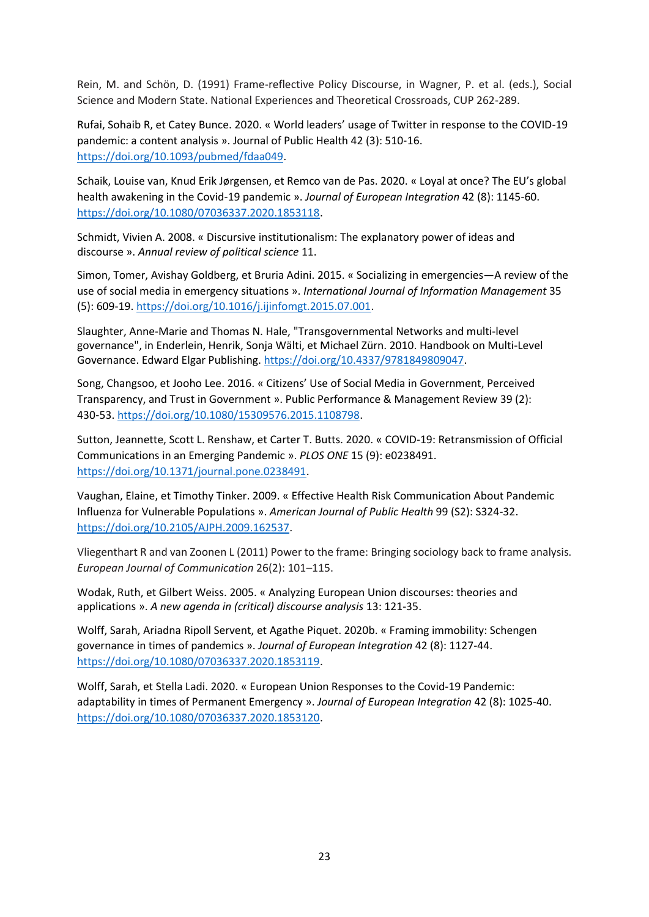Rein, M. and Schön, D. (1991) Frame-reflective Policy Discourse, in Wagner, P. et al. (eds.), Social Science and Modern State. National Experiences and Theoretical Crossroads, CUP 262-289.

Rufai, Sohaib R, et Catey Bunce. 2020. « World leaders' usage of Twitter in response to the COVID-19 pandemic: a content analysis ». Journal of Public Health 42 (3): 510‑16. [https://doi.org/10.1093/pubmed/fdaa049.](https://doi.org/10.1093/pubmed/fdaa049)

Schaik, Louise van, Knud Erik Jørgensen, et Remco van de Pas. 2020. « Loyal at once? The EU's global health awakening in the Covid-19 pandemic ». *Journal of European Integration* 42 (8): 1145-60. [https://doi.org/10.1080/07036337.2020.1853118.](https://doi.org/10.1080/07036337.2020.1853118)

Schmidt, Vivien A. 2008. « Discursive institutionalism: The explanatory power of ideas and discourse ». *Annual review of political science* 11.

Simon, Tomer, Avishay Goldberg, et Bruria Adini. 2015. « Socializing in emergencies—A review of the use of social media in emergency situations ». *International Journal of Information Management* 35 (5): 609-19. [https://doi.org/10.1016/j.ijinfomgt.2015.07.001.](https://doi.org/10.1016/j.ijinfomgt.2015.07.001)

Slaughter, Anne-Marie and Thomas N. Hale, "Transgovernmental Networks and multi-level governance", in Enderlein, Henrik, Sonja Wälti, et Michael Zürn. 2010. Handbook on Multi-Level Governance. Edward Elgar Publishing. [https://doi.org/10.4337/9781849809047.](https://doi.org/10.4337/9781849809047)

Song, Changsoo, et Jooho Lee. 2016. « Citizens' Use of Social Media in Government, Perceived Transparency, and Trust in Government ». Public Performance & Management Review 39 (2): 430‑53[. https://doi.org/10.1080/15309576.2015.1108798.](https://doi.org/10.1080/15309576.2015.1108798)

Sutton, Jeannette, Scott L. Renshaw, et Carter T. Butts. 2020. « COVID-19: Retransmission of Official Communications in an Emerging Pandemic ». *PLOS ONE* 15 (9): e0238491. [https://doi.org/10.1371/journal.pone.0238491.](https://doi.org/10.1371/journal.pone.0238491)

Vaughan, Elaine, et Timothy Tinker. 2009. « Effective Health Risk Communication About Pandemic Influenza for Vulnerable Populations ». *American Journal of Public Health* 99 (S2): S324-32. [https://doi.org/10.2105/AJPH.2009.162537.](https://doi.org/10.2105/AJPH.2009.162537)

Vliegenthart R and van Zoonen L (2011) Power to the frame: Bringing sociology back to frame analysis. *European Journal of Communication* 26(2): 101–115.

Wodak, Ruth, et Gilbert Weiss. 2005. « Analyzing European Union discourses: theories and applications ». *A new agenda in (critical) discourse analysis* 13: 121-35.

Wolff, Sarah, Ariadna Ripoll Servent, et Agathe Piquet. 2020b. « Framing immobility: Schengen governance in times of pandemics ». *Journal of European Integration* 42 (8): 1127-44. [https://doi.org/10.1080/07036337.2020.1853119.](https://doi.org/10.1080/07036337.2020.1853119)

Wolff, Sarah, et Stella Ladi. 2020. « European Union Responses to the Covid-19 Pandemic: adaptability in times of Permanent Emergency ». *Journal of European Integration* 42 (8): 1025-40. [https://doi.org/10.1080/07036337.2020.1853120.](https://doi.org/10.1080/07036337.2020.1853120)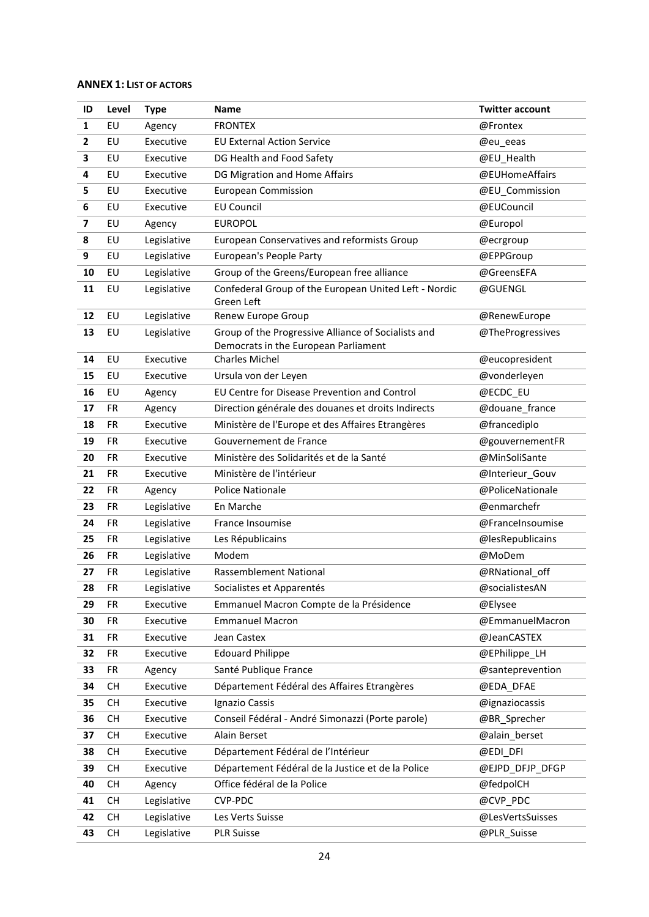# **ANNEX 1: LIST OF ACTORS**

| ID                      | Level     | <b>Type</b> | <b>Name</b>                                                                                 | <b>Twitter account</b> |
|-------------------------|-----------|-------------|---------------------------------------------------------------------------------------------|------------------------|
| $\mathbf{1}$            | EU        | Agency      | <b>FRONTEX</b>                                                                              | @Frontex               |
| $\mathbf{2}$            | EU        | Executive   | <b>EU External Action Service</b>                                                           | @eu_eeas               |
| 3                       | EU        | Executive   | DG Health and Food Safety                                                                   | @EU_Health             |
| 4                       | EU        | Executive   | DG Migration and Home Affairs                                                               | @EUHomeAffairs         |
| 5                       | EU        | Executive   | <b>European Commission</b>                                                                  | @EU_Commission         |
| 6                       | EU        | Executive   | <b>EU Council</b>                                                                           | @EUCouncil             |
| $\overline{\mathbf{z}}$ | EU        | Agency      | <b>EUROPOL</b>                                                                              | @Europol               |
| 8                       | EU        | Legislative | European Conservatives and reformists Group                                                 | @ecrgroup              |
| 9                       | EU        | Legislative | European's People Party                                                                     | @EPPGroup              |
| 10                      | EU        | Legislative | Group of the Greens/European free alliance                                                  | @GreensEFA             |
| 11                      | EU        | Legislative | Confederal Group of the European United Left - Nordic<br>Green Left                         | @GUENGL                |
| 12                      | EU        | Legislative | Renew Europe Group                                                                          | @RenewEurope           |
| 13                      | EU        | Legislative | Group of the Progressive Alliance of Socialists and<br>Democrats in the European Parliament | @TheProgressives       |
| 14                      | EU        | Executive   | <b>Charles Michel</b>                                                                       | @eucopresident         |
| 15                      | EU        | Executive   | Ursula von der Leyen                                                                        | @vonderleyen           |
| 16                      | EU        | Agency      | EU Centre for Disease Prevention and Control                                                | @ECDC_EU               |
| 17                      | <b>FR</b> | Agency      | Direction générale des douanes et droits Indirects                                          | @douane_france         |
| 18                      | <b>FR</b> | Executive   | Ministère de l'Europe et des Affaires Etrangères                                            | @francediplo           |
| 19                      | <b>FR</b> | Executive   | Gouvernement de France                                                                      | @gouvernementFR        |
| 20                      | <b>FR</b> | Executive   | Ministère des Solidarités et de la Santé                                                    | @MinSoliSante          |
| 21                      | <b>FR</b> | Executive   | Ministère de l'intérieur                                                                    | @Interieur_Gouv        |
| 22                      | <b>FR</b> | Agency      | <b>Police Nationale</b>                                                                     | @PoliceNationale       |
| 23                      | <b>FR</b> | Legislative | En Marche                                                                                   | @enmarchefr            |
| 24                      | <b>FR</b> | Legislative | France Insoumise                                                                            | @FranceInsoumise       |
| 25                      | <b>FR</b> | Legislative | Les Républicains                                                                            | @lesRepublicains       |
| 26                      | <b>FR</b> | Legislative | Modem                                                                                       | @MoDem                 |
| 27                      | <b>FR</b> | Legislative | Rassemblement National                                                                      | @RNational_off         |
| 28                      | FR        | Legislative | Socialistes et Apparentés                                                                   | @socialistesAN         |
| 29                      | <b>FR</b> | Executive   | Emmanuel Macron Compte de la Présidence                                                     | @Elysee                |
| 30                      | FR        | Executive   | <b>Emmanuel Macron</b>                                                                      | @EmmanuelMacron        |
| 31                      | FR        | Executive   | Jean Castex                                                                                 | @JeanCASTEX            |
| 32                      | FR        | Executive   | <b>Edouard Philippe</b>                                                                     | @EPhilippe LH          |
| 33                      | FR        | Agency      | Santé Publique France                                                                       | @santeprevention       |
| 34                      | <b>CH</b> | Executive   | Département Fédéral des Affaires Etrangères                                                 | @EDA_DFAE              |
| 35                      | <b>CH</b> | Executive   | Ignazio Cassis                                                                              | @ignaziocassis         |
| 36                      | <b>CH</b> | Executive   | Conseil Fédéral - André Simonazzi (Porte parole)                                            | @BR_Sprecher           |
| 37                      | <b>CH</b> | Executive   | Alain Berset                                                                                | @alain_berset          |
| 38                      | <b>CH</b> | Executive   | Département Fédéral de l'Intérieur                                                          | @EDI_DFI               |
| 39                      | <b>CH</b> | Executive   | Département Fédéral de la Justice et de la Police                                           | @EJPD_DFJP_DFGP        |
| 40                      | <b>CH</b> | Agency      | Office fédéral de la Police                                                                 | @fedpolCH              |
| 41                      | <b>CH</b> | Legislative | CVP-PDC                                                                                     | @CVP_PDC               |
| 42                      | <b>CH</b> | Legislative | Les Verts Suisse                                                                            | @LesVertsSuisses       |
| 43                      | <b>CH</b> | Legislative | <b>PLR Suisse</b>                                                                           | @PLR_Suisse            |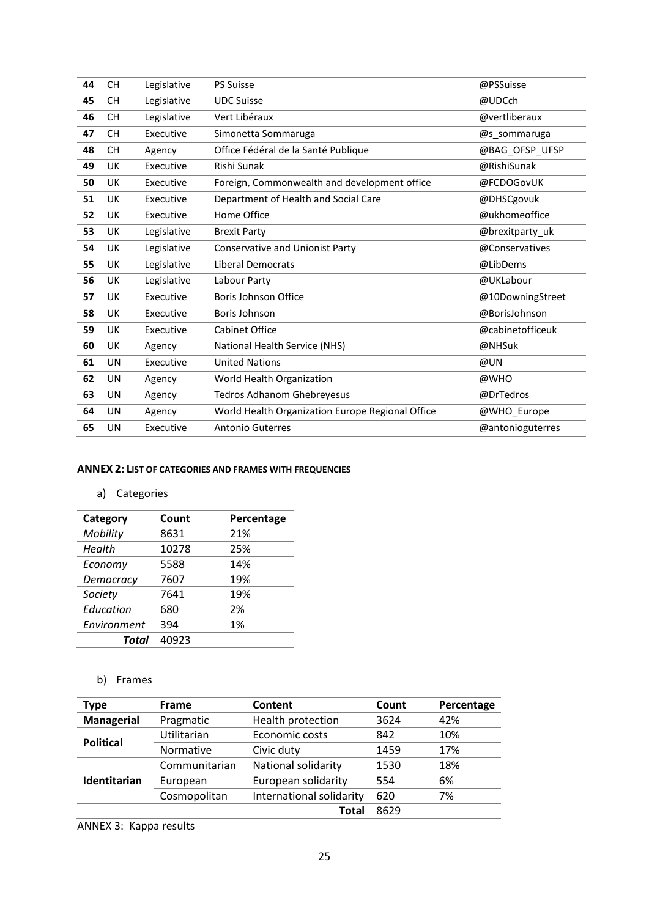| 44 | <b>CH</b> | Legislative | <b>PS Suisse</b>                                 | @PSSuisse        |
|----|-----------|-------------|--------------------------------------------------|------------------|
| 45 | <b>CH</b> | Legislative | <b>UDC Suisse</b>                                | @UDCch           |
| 46 | <b>CH</b> | Legislative | Vert Libéraux                                    | @vertliberaux    |
| 47 | <b>CH</b> | Executive   | Simonetta Sommaruga                              | @s sommaruga     |
| 48 | <b>CH</b> | Agency      | Office Fédéral de la Santé Publique              | @BAG_OFSP_UFSP   |
| 49 | UK        | Executive   | Rishi Sunak                                      | @RishiSunak      |
| 50 | UK        | Executive   | Foreign, Commonwealth and development office     | @FCDOGovUK       |
| 51 | UK        | Executive   | Department of Health and Social Care             | @DHSCgovuk       |
| 52 | UK        | Executive   | Home Office                                      | @ukhomeoffice    |
| 53 | UK        | Legislative | <b>Brexit Party</b>                              | @brexitparty_uk  |
| 54 | UK        | Legislative | Conservative and Unionist Party                  | @Conservatives   |
| 55 | UK        | Legislative | <b>Liberal Democrats</b>                         | @LibDems         |
| 56 | UK        | Legislative | Labour Party                                     | @UKLabour        |
| 57 | UK        | Executive   | <b>Boris Johnson Office</b>                      | @10DowningStreet |
| 58 | UK        | Executive   | Boris Johnson                                    | @BorisJohnson    |
| 59 | UK        | Executive   | Cabinet Office                                   | @cabinetofficeuk |
| 60 | UK        | Agency      | National Health Service (NHS)                    | @NHSuk           |
| 61 | UN        | Executive   | <b>United Nations</b>                            | @UN              |
| 62 | UN        | Agency      | World Health Organization                        | @WHO             |
| 63 | UN        | Agency      | <b>Tedros Adhanom Ghebreyesus</b>                | @DrTedros        |
| 64 | UN        | Agency      | World Health Organization Europe Regional Office | @WHO_Europe      |
| 65 | UN        | Executive   | <b>Antonio Guterres</b>                          | @antonioguterres |

## **ANNEX 2: LIST OF CATEGORIES AND FRAMES WITH FREQUENCIES**

# a) Categories

| Category    | Count | Percentage |
|-------------|-------|------------|
| Mobility    | 8631  | 21%        |
| Health      | 10278 | 25%        |
| Economy     | 5588  | 14%        |
| Democracy   | 7607  | 19%        |
| Society     | 7641  | 19%        |
| Education   | 680   | 2%         |
| Environment | 394   | 1%         |
| Total       | 40923 |            |

# b) Frames

| <b>Type</b>       | Frame                                    | Content                    | Count | Percentage |
|-------------------|------------------------------------------|----------------------------|-------|------------|
| <b>Managerial</b> | Pragmatic                                | Health protection          | 3624  | 42%        |
| <b>Political</b>  | Utilitarian                              | Economic costs             | 842   | 10%        |
|                   | Normative                                | Civic duty                 | 1459  | 17%        |
|                   | Communitarian                            | <b>National solidarity</b> | 1530  | 18%        |
| Identitarian      | European                                 | European solidarity        | 554   | 6%         |
|                   | International solidarity<br>Cosmopolitan |                            | 620   | 7%         |
|                   |                                          | Total                      | 8629  |            |

ANNEX 3: Kappa results